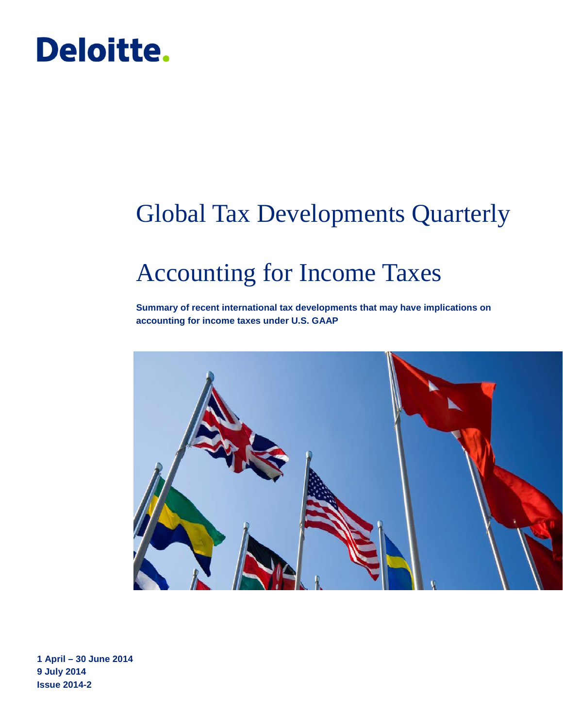# Deloitte.

# Global Tax Developments Quarterly

# Accounting for Income Taxes

**Summary of recent international tax developments that may have implications on accounting for income taxes under U.S. GAAP**



**1 April – 30 June 2014 9 July 2014 Issue 2014-2**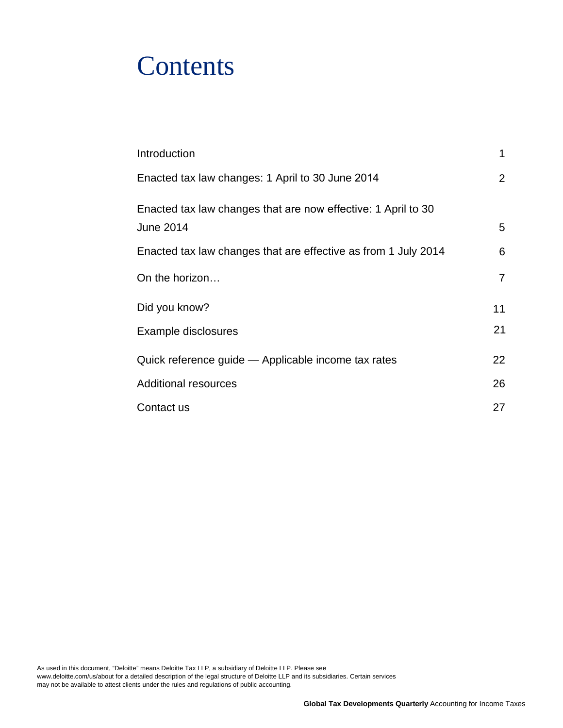# **Contents**

| Introduction                                                                      | 1              |
|-----------------------------------------------------------------------------------|----------------|
| Enacted tax law changes: 1 April to 30 June 2014                                  | $\overline{2}$ |
| Enacted tax law changes that are now effective: 1 April to 30<br><b>June 2014</b> | 5              |
|                                                                                   |                |
| Enacted tax law changes that are effective as from 1 July 2014                    | 6              |
| On the horizon                                                                    | $\overline{7}$ |
| Did you know?                                                                     | 11             |
| Example disclosures                                                               | 21             |
| Quick reference guide — Applicable income tax rates                               | 22             |
| <b>Additional resources</b>                                                       | 26             |
| Contact us                                                                        | 27             |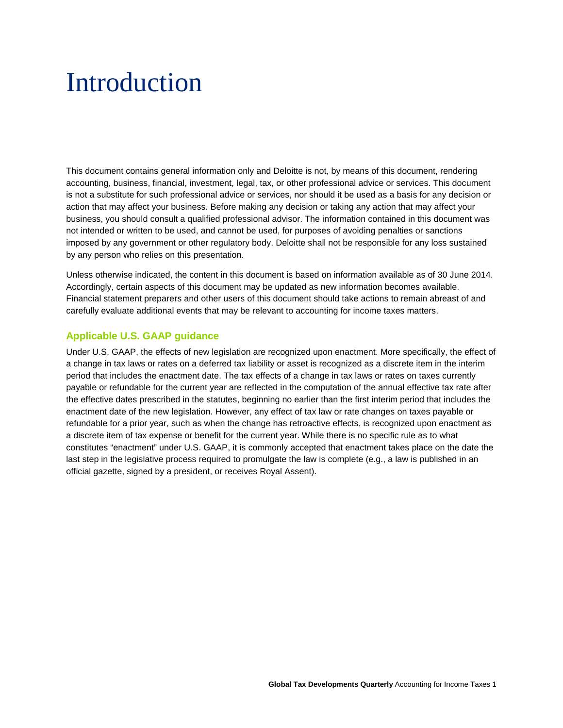# <span id="page-2-0"></span>Introduction

This document contains general information only and Deloitte is not, by means of this document, rendering accounting, business, financial, investment, legal, tax, or other professional advice or services. This document is not a substitute for such professional advice or services, nor should it be used as a basis for any decision or action that may affect your business. Before making any decision or taking any action that may affect your business, you should consult a qualified professional advisor. The information contained in this document was not intended or written to be used, and cannot be used, for purposes of avoiding penalties or sanctions imposed by any government or other regulatory body. Deloitte shall not be responsible for any loss sustained by any person who relies on this presentation.

Unless otherwise indicated, the content in this document is based on information available as of 30 June 2014. Accordingly, certain aspects of this document may be updated as new information becomes available. Financial statement preparers and other users of this document should take actions to remain abreast of and carefully evaluate additional events that may be relevant to accounting for income taxes matters.

# **Applicable U.S. GAAP guidance**

Under U.S. GAAP, the effects of new legislation are recognized upon enactment. More specifically, the effect of a change in tax laws or rates on a deferred tax liability or asset is recognized as a discrete item in the interim period that includes the enactment date. The tax effects of a change in tax laws or rates on taxes currently payable or refundable for the current year are reflected in the computation of the annual effective tax rate after the effective dates prescribed in the statutes, beginning no earlier than the first interim period that includes the enactment date of the new legislation. However, any effect of tax law or rate changes on taxes payable or refundable for a prior year, such as when the change has retroactive effects, is recognized upon enactment as a discrete item of tax expense or benefit for the current year. While there is no specific rule as to what constitutes "enactment" under U.S. GAAP, it is commonly accepted that enactment takes place on the date the last step in the legislative process required to promulgate the law is complete (e.g., a law is published in an official gazette, signed by a president, or receives Royal Assent).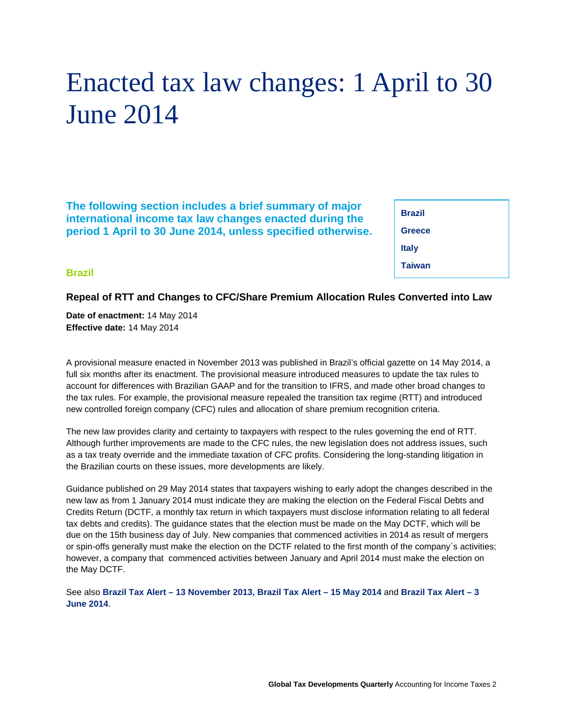# <span id="page-3-0"></span>Enacted tax law changes: 1 April to 30 June 2014

**The following section includes a brief summary of major international income tax law changes enacted during the period 1 April to 30 June 2014, unless specified otherwise.**

**Brazil [Greece](#page-4-0) [Italy](#page-5-0)  [Taiwan](#page-5-0)** 

### **Brazil**

### **Repeal of RTT and Changes to CFC/Share Premium Allocation Rules Converted into Law**

**Date of enactment:** 14 May 2014 **Effective date:** 14 May 2014

A provisional measure enacted in November 2013 was published in Brazil's official gazette on 14 May 2014, a full six months after its enactment. The provisional measure introduced measures to update the tax rules to account for differences with Brazilian GAAP and for the transition to IFRS, and made other broad changes to the tax rules. For example, the provisional measure repealed the transition tax regime (RTT) and introduced new controlled foreign company (CFC) rules and allocation of share premium recognition criteria.

The new law provides clarity and certainty to taxpayers with respect to the rules governing the end of RTT. Although further improvements are made to the CFC rules, the new legislation does not address issues, such as a tax treaty override and the immediate taxation of CFC profits. Considering the long-standing litigation in the Brazilian courts on these issues, more developments are likely.

Guidance published on 29 May 2014 states that taxpayers wishing to early adopt the changes described in the new law as from 1 January 2014 must indicate they are making the election on the Federal Fiscal Debts and Credits Return (DCTF, a monthly tax return in which taxpayers must disclose information relating to all federal tax debts and credits). The guidance states that the election must be made on the May DCTF, which will be due on the 15th business day of July. New companies that commenced activities in 2014 as result of mergers or spin-offs generally must make the election on the DCTF related to the first month of the company´s activities; however, a company that commenced activities between January and April 2014 must make the election on the May DCTF.

See also **Brazil Tax Alert – [13 November 2013,](http://www2.deloitte.com/content/dam/Deloitte/global/Documents/Tax/dttl-tax-alert-brazil-131113.pdf) [Brazil Tax Alert –](http://www2.deloitte.com/content/dam/Deloitte/global/Documents/Tax/dttl-tax-alert-brazil-160514.pdf) 15 May 2014** and **[Brazil Tax Alert –](http://www2.deloitte.com/content/dam/Deloitte/global/Documents/Tax/dttl-tax-alert-brazil-030614.pdf) 3 [June 2014](http://www2.deloitte.com/content/dam/Deloitte/global/Documents/Tax/dttl-tax-alert-brazil-030614.pdf)**.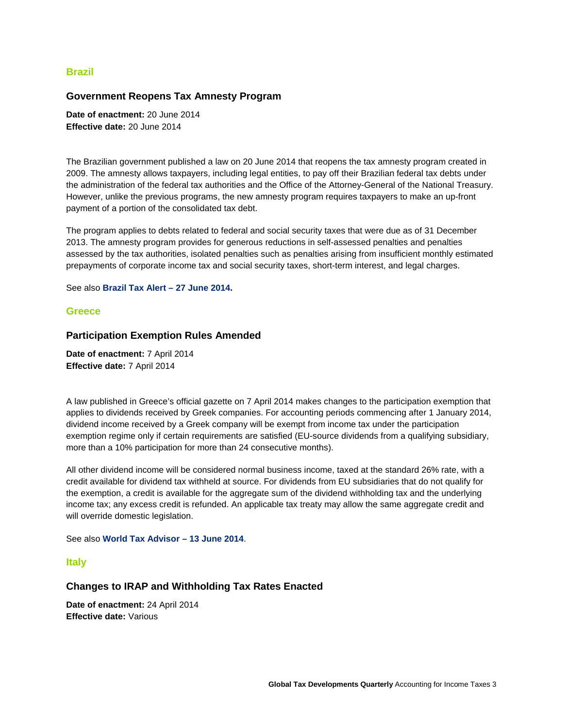### <span id="page-4-0"></span>**Brazil**

#### **Government Reopens Tax Amnesty Program**

**Date of enactment:** 20 June 2014 **Effective date:** 20 June 2014

The Brazilian government published a law on 20 June 2014 that reopens the tax amnesty program created in 2009. The amnesty allows taxpayers, including legal entities, to pay off their Brazilian federal tax debts under the administration of the federal tax authorities and the Office of the Attorney-General of the National Treasury. However, unlike the previous programs, the new amnesty program requires taxpayers to make an up-front payment of a portion of the consolidated tax debt.

The program applies to debts related to federal and social security taxes that were due as of 31 December 2013. The amnesty program provides for generous reductions in self-assessed penalties and penalties assessed by the tax authorities, isolated penalties such as penalties arising from insufficient monthly estimated prepayments of corporate income tax and social security taxes, short-term interest, and legal charges.

See also **[Brazil Tax Alert –](http://www2.deloitte.com/content/dam/Deloitte/global/Documents/Tax/dttl-tax-alert-brazil-amnesty-270614.pdf) 27 June 2014.**

#### **Greece**

#### **Participation Exemption Rules Amended**

**Date of enactment:** 7 April 2014 **Effective date:** 7 April 2014

A law published in Greece's official gazette on 7 April 2014 makes changes to the participation exemption that applies to dividends received by Greek companies. For accounting periods commencing after 1 January 2014, dividend income received by a Greek company will be exempt from income tax under the participation exemption regime only if certain requirements are satisfied (EU-source dividends from a qualifying subsidiary, more than a 10% participation for more than 24 consecutive months).

All other dividend income will be considered normal business income, taxed at the standard 26% rate, with a credit available for dividend tax withheld at source. For dividends from EU subsidiaries that do not qualify for the exemption, a credit is available for the aggregate sum of the dividend withholding tax and the underlying income tax; any excess credit is refunded. An applicable tax treaty may allow the same aggregate credit and will override domestic legislation.

#### See also **[World Tax Advisor –](http://www2.deloitte.com/content/dam/Deloitte/global/Documents/Tax/dtt_tax_worldtaxadvisor_140613.pdf) 13 June 2014**.

#### **[Italy](#page-5-0)**

#### **Changes to IRAP and Withholding Tax Rates Enacted**

**Date of enactment:** 24 April 2014 **Effective date:** Various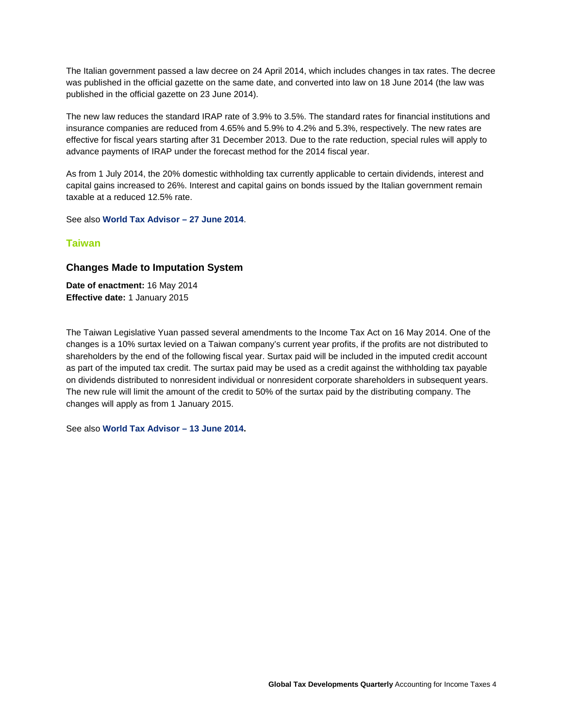<span id="page-5-0"></span>The Italian government passed a law decree on 24 April 2014, which includes changes in tax rates. The decree was published in the official gazette on the same date, and converted into law on 18 June 2014 (the law was published in the official gazette on 23 June 2014).

The new law reduces the standard IRAP rate of 3.9% to 3.5%. The standard rates for financial institutions and insurance companies are reduced from 4.65% and 5.9% to 4.2% and 5.3%, respectively. The new rates are effective for fiscal years starting after 31 December 2013. Due to the rate reduction, special rules will apply to advance payments of IRAP under the forecast method for the 2014 fiscal year.

As from 1 July 2014, the 20% domestic withholding tax currently applicable to certain dividends, interest and capital gains increased to 26%. Interest and capital gains on bonds issued by the Italian government remain taxable at a reduced 12.5% rate.

See also **[World Tax Advisor –](http://www2.deloitte.com/content/dam/Deloitte/global/Documents/Tax/dtt_tax_worldtaxadvisor_140627.pdf) 27 June 2014**.

### **Taiwan**

### **Changes Made to Imputation System**

**Date of enactment:** 16 May 2014 **Effective date:** 1 January 2015

The Taiwan Legislative Yuan passed several amendments to the Income Tax Act on 16 May 2014. One of the changes is a 10% surtax levied on a Taiwan company's current year profits, if the profits are not distributed to shareholders by the end of the following fiscal year. Surtax paid will be included in the imputed credit account as part of the imputed tax credit. The surtax paid may be used as a credit against the withholding tax payable on dividends distributed to nonresident individual or nonresident corporate shareholders in subsequent years. The new rule will limit the amount of the credit to 50% of the surtax paid by the distributing company. The changes will apply as from 1 January 2015.

See also **[World Tax Advisor –](http://www2.deloitte.com/content/dam/Deloitte/global/Documents/Tax/dtt_tax_worldtaxadvisor_140613.pdf) 13 June 2014.**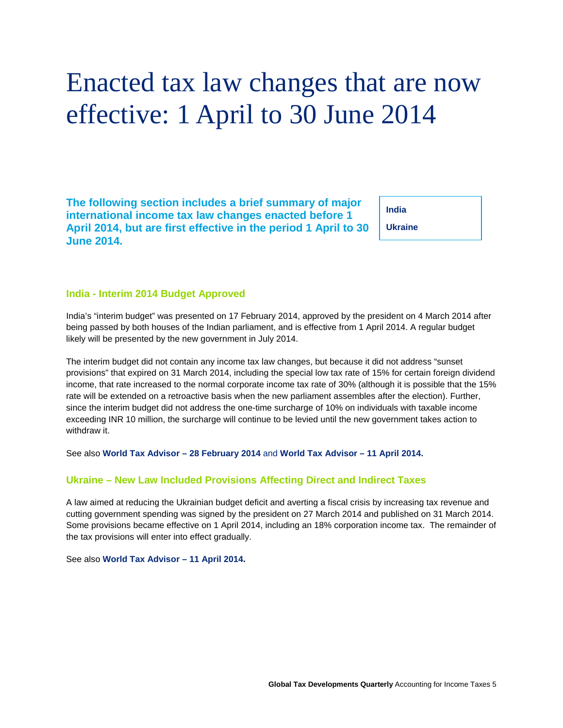# <span id="page-6-0"></span>Enacted tax law changes that are now effective: 1 April to 30 June 2014

**The following section includes a brief summary of major international income tax law changes enacted before 1 April 2014, but are first effective in the period 1 April to 30 June 2014.** 

**India**

**Ukraine**

#### **India - Interim 2014 Budget Approved**

India's "interim budget" was presented on 17 February 2014, approved by the president on 4 March 2014 after being passed by both houses of the Indian parliament, and is effective from 1 April 2014. A regular budget likely will be presented by the new government in July 2014.

The interim budget did not contain any income tax law changes, but because it did not address "sunset provisions" that expired on 31 March 2014, including the special low tax rate of 15% for certain foreign dividend income, that rate increased to the normal corporate income tax rate of 30% (although it is possible that the 15% rate will be extended on a retroactive basis when the new parliament assembles after the election). Further, since the interim budget did not address the one-time surcharge of 10% on individuals with taxable income exceeding INR 10 million, the surcharge will continue to be levied until the new government takes action to withdraw it.

See also **[World Tax Advisor –](http://www2.deloitte.com/content/dam/Deloitte/global/Documents/Tax/dtt_tax_worldtaxadvisor_140228.pdf) 28 February 2014** and **[World Tax Advisor –](http://www2.deloitte.com/content/dam/Deloitte/global/Documents/Tax/dtt_tax_worldtaxadvisor_140411.pdf) 11 April 2014.**

#### **Ukraine – New Law Included Provisions Affecting Direct and Indirect Taxes**

A law aimed at reducing the Ukrainian budget deficit and averting a fiscal crisis by increasing tax revenue and cutting government spending was signed by the president on 27 March 2014 and published on 31 March 2014. Some provisions became effective on 1 April 2014, including an 18% corporation income tax. The remainder of the tax provisions will enter into effect gradually.

See also **[World Tax Advisor –](http://www2.deloitte.com/content/dam/Deloitte/global/Documents/Tax/dtt_tax_worldtaxadvisor_140411.pdf) 11 April 2014.**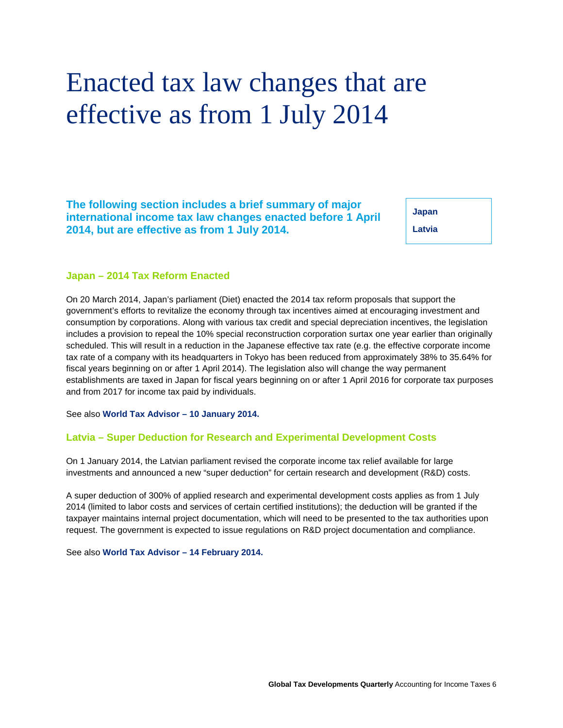# <span id="page-7-0"></span>Enacted tax law changes that are effective as from 1 July 2014

**The following section includes a brief summary of major international income tax law changes enacted before 1 April 2014, but are effective as from 1 July 2014.**

**Japan Latvia** 

### **Japan – 2014 Tax Reform Enacted**

On 20 March 2014, Japan's parliament (Diet) enacted the 2014 tax reform proposals that support the government's efforts to revitalize the economy through tax incentives aimed at encouraging investment and consumption by corporations. Along with various tax credit and special depreciation incentives, the legislation includes a provision to repeal the 10% special reconstruction corporation surtax one year earlier than originally scheduled. This will result in a reduction in the Japanese effective tax rate (e.g. the effective corporate income tax rate of a company with its headquarters in Tokyo has been reduced from approximately 38% to 35.64% for fiscal years beginning on or after 1 April 2014). The legislation also will change the way permanent establishments are taxed in Japan for fiscal years beginning on or after 1 April 2016 for corporate tax purposes and from 2017 for income tax paid by individuals.

See also **[World Tax Advisor –](http://www2.deloitte.com/content/dam/Deloitte/global/Documents/Tax/dtt_tax_worldtaxadvisor_140110.pdf) 10 January 2014.**

### **Latvia – Super Deduction for Research and Experimental Development Costs**

On 1 January 2014, the Latvian parliament revised the corporate income tax relief available for large investments and announced a new "super deduction" for certain research and development (R&D) costs.

A super deduction of 300% of applied research and experimental development costs applies as from 1 July 2014 (limited to labor costs and services of certain certified institutions); the deduction will be granted if the taxpayer maintains internal project documentation, which will need to be presented to the tax authorities upon request. The government is expected to issue regulations on R&D project documentation and compliance.

See also **[World Tax Advisor –](http://www2.deloitte.com/content/dam/Deloitte/global/Documents/Tax/dtt_tax_worldtaxadvisor_140214.pdf) 14 February 2014.**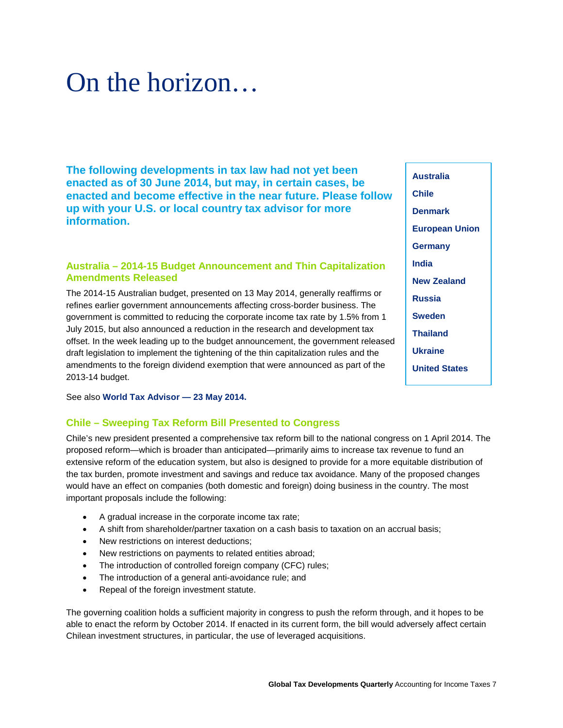# <span id="page-8-0"></span>On the horizon…

**The following developments in tax law had not yet been enacted as of 30 June 2014, but may, in certain cases, be enacted and become effective in the near future. Please follow up with your U.S. or local country tax advisor for more information.** 

# **Australia – 2014-15 Budget Announcement and Thin Capitalization Amendments Released**

The 2014-15 Australian budget, presented on 13 May 2014, generally reaffirms or refines earlier government announcements affecting cross-border business. The government is committed to reducing the corporate income tax rate by 1.5% from 1 July 2015, but also announced a reduction in the research and development tax offset. In the week leading up to the budget announcement, the government released draft legislation to implement the tightening of the thin capitalization rules and the amendments to the foreign dividend exemption that were announced as part of the 2013-14 budget.

See also **[World Tax Advisor —](http://www2.deloitte.com/content/dam/Deloitte/global/Documents/Tax/dtt_tax_worldtaxadvisor_140523.pdf) 23 May 2014.**

# **Chile – Sweeping Tax Reform Bill Presented to Congress**

Chile's new president presented a comprehensive tax reform bill to the national congress on 1 April 2014. The proposed reform—which is broader than anticipated—primarily aims to increase tax revenue to fund an extensive reform of the education system, but also is designed to provide for a more equitable distribution of the tax burden, promote investment and savings and reduce tax avoidance. Many of the proposed changes would have an effect on companies (both domestic and foreign) doing business in the country. The most important proposals include the following:

- A gradual increase in the corporate income tax rate;
- A shift from shareholder/partner taxation on a cash basis to taxation on an accrual basis;
- New restrictions on interest deductions:
- New restrictions on payments to related entities abroad;
- The introduction of controlled foreign company (CFC) rules;
- The introduction of a general anti-avoidance rule; and
- Repeal of the foreign investment statute.

The governing coalition holds a sufficient majority in congress to push the reform through, and it hopes to be able to enact the reform by October 2014. If enacted in its current form, the bill would adversely affect certain Chilean investment structures, in particular, the use of leveraged acquisitions.

**Australia Chile [Denmark](#page-9-0) [European Union](#page-9-0) [Germany](#page-9-0) [India](#page-9-0) [New Zealand](#page-9-0) [Russia](#page-10-0) [Sweden](#page-10-0) [Thailand](#page-10-0) [Ukraine](#page-10-0) [United States](#page-11-0)**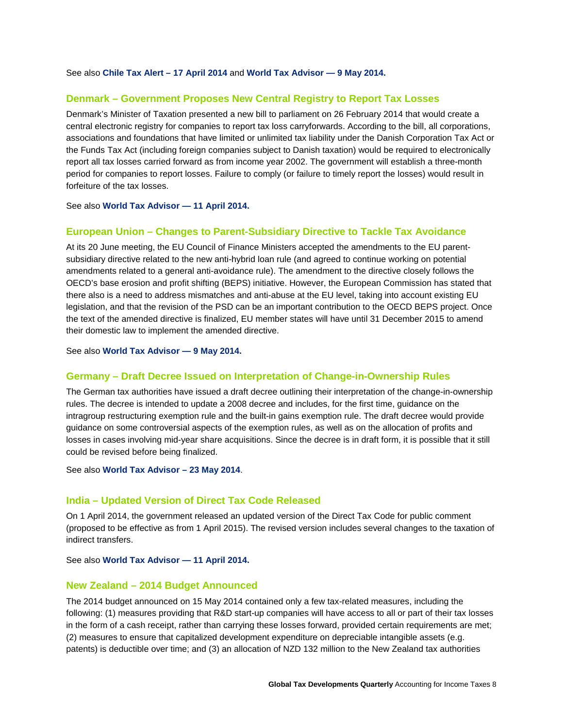<span id="page-9-0"></span>See also **[Chile Tax Alert –](http://www2.deloitte.com/content/dam/Deloitte/global/Documents/Tax/dttl-tax-alert-chile-170414.pdf) 17 April 2014** and **[World Tax Advisor —](http://www2.deloitte.com/content/dam/Deloitte/global/Documents/Tax/dtt_tax_worldtaxadvisor_140509.pdf) 9 May 2014.**

#### **Denmark – Government Proposes New Central Registry to Report Tax Losses**

Denmark's Minister of Taxation presented a new bill to parliament on 26 February 2014 that would create a central electronic registry for companies to report tax loss carryforwards. According to the bill, all corporations, associations and foundations that have limited or unlimited tax liability under the Danish Corporation Tax Act or the Funds Tax Act (including foreign companies subject to Danish taxation) would be required to electronically report all tax losses carried forward as from income year 2002. The government will establish a three-month period for companies to report losses. Failure to comply (or failure to timely report the losses) would result in forfeiture of the tax losses.

See also **[World Tax Advisor —](http://www2.deloitte.com/content/dam/Deloitte/global/Documents/Tax/dtt_tax_worldtaxadvisor_140411.pdf) 11 April 2014.**

### **European Union – Changes to Parent-Subsidiary Directive to Tackle Tax Avoidance**

At its 20 June meeting, the EU Council of Finance Ministers accepted the amendments to the EU parentsubsidiary directive related to the new anti-hybrid loan rule (and agreed to continue working on potential amendments related to a general anti-avoidance rule). The amendment to the directive closely follows the OECD's base erosion and profit shifting (BEPS) initiative. However, the European Commission has stated that there also is a need to address mismatches and anti-abuse at the EU level, taking into account existing EU legislation, and that the revision of the PSD can be an important contribution to the OECD BEPS project. Once the text of the amended directive is finalized, EU member states will have until 31 December 2015 to amend their domestic law to implement the amended directive.

See also **[World Tax Advisor —](http://www2.deloitte.com/content/dam/Deloitte/global/Documents/Tax/dtt_tax_worldtaxadvisor_140509.pdf) 9 May 2014.**

#### **Germany – Draft Decree Issued on Interpretation of Change-in-Ownership Rules**

The German tax authorities have issued a draft decree outlining their interpretation of the change-in-ownership rules. The decree is intended to update a 2008 decree and includes, for the first time, guidance on the intragroup restructuring exemption rule and the built-in gains exemption rule. The draft decree would provide guidance on some controversial aspects of the exemption rules, as well as on the allocation of profits and losses in cases involving mid-year share acquisitions. Since the decree is in draft form, it is possible that it still could be revised before being finalized.

See also **[World Tax Advisor –](http://www2.deloitte.com/content/dam/Deloitte/global/Documents/Tax/dtt_tax_worldtaxadvisor_140523.pdf) 23 May 2014**.

#### **India – Updated Version of Direct Tax Code Released**

On 1 April 2014, the government released an updated version of the Direct Tax Code for public comment (proposed to be effective as from 1 April 2015). The revised version includes several changes to the taxation of indirect transfers.

See also **[World Tax Advisor —](http://www2.deloitte.com/content/dam/Deloitte/global/Documents/Tax/dtt_tax_worldtaxadvisor_140411.pdf) 11 April 2014.**

#### **New Zealand – 2014 Budget Announced**

The 2014 budget announced on 15 May 2014 contained only a few tax-related measures, including the following: (1) measures providing that R&D start-up companies will have access to all or part of their tax losses in the form of a cash receipt, rather than carrying these losses forward, provided certain requirements are met; (2) measures to ensure that capitalized development expenditure on depreciable intangible assets (e.g. patents) is deductible over time; and (3) an allocation of NZD 132 million to the New Zealand tax authorities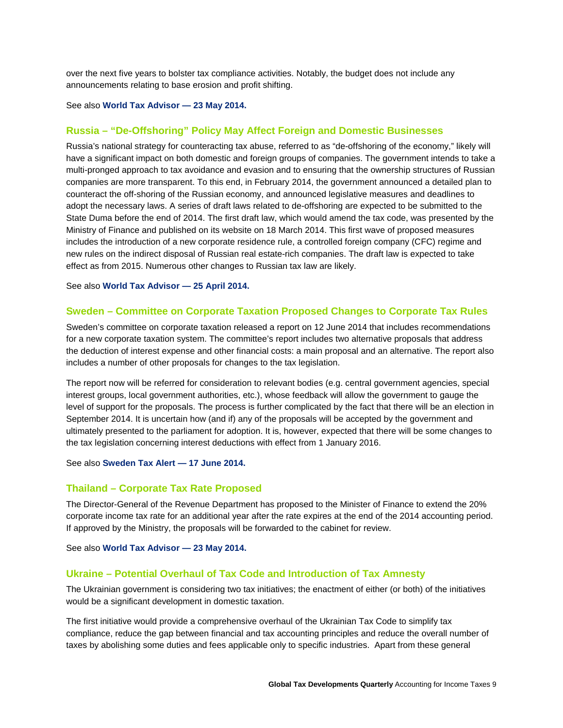<span id="page-10-0"></span>over the next five years to bolster tax compliance activities. Notably, the budget does not include any announcements relating to base erosion and profit shifting.

#### See also **[World Tax Advisor —](http://www2.deloitte.com/content/dam/Deloitte/global/Documents/Tax/dtt_tax_worldtaxadvisor_140523.pdf) 23 May 2014.**

#### **Russia – "De-Offshoring" Policy May Affect Foreign and Domestic Businesses**

Russia's national strategy for counteracting tax abuse, referred to as "de-offshoring of the economy," likely will have a significant impact on both domestic and foreign groups of companies. The government intends to take a multi-pronged approach to tax avoidance and evasion and to ensuring that the ownership structures of Russian companies are more transparent. To this end, in February 2014, the government announced a detailed plan to counteract the off-shoring of the Russian economy, and announced legislative measures and deadlines to adopt the necessary laws. A series of draft laws related to de-offshoring are expected to be submitted to the State Duma before the end of 2014. The first draft law, which would amend the tax code, was presented by the Ministry of Finance and published on its website on 18 March 2014. This first wave of proposed measures includes the introduction of a new corporate residence rule, a controlled foreign company (CFC) regime and new rules on the indirect disposal of Russian real estate-rich companies. The draft law is expected to take effect as from 2015. Numerous other changes to Russian tax law are likely.

See also **[World Tax Advisor —](http://www2.deloitte.com/content/dam/Deloitte/global/Documents/Tax/dtt_tax_worldtaxadvisor_140425.pdf) 25 April 2014.**

### **Sweden – Committee on Corporate Taxation Proposed Changes to Corporate Tax Rules**

Sweden's committee on corporate taxation released a report on 12 June 2014 that includes recommendations for a new corporate taxation system. The committee's report includes two alternative proposals that address the deduction of interest expense and other financial costs: a main proposal and an alternative. The report also includes a number of other proposals for changes to the tax legislation.

The report now will be referred for consideration to relevant bodies (e.g. central government agencies, special interest groups, local government authorities, etc.), whose feedback will allow the government to gauge the level of support for the proposals. The process is further complicated by the fact that there will be an election in September 2014. It is uncertain how (and if) any of the proposals will be accepted by the government and ultimately presented to the parliament for adoption. It is, however, expected that there will be some changes to the tax legislation concerning interest deductions with effect from 1 January 2016.

### See also **[Sweden Tax Alert —](http://www2.deloitte.com/content/dam/Deloitte/global/Documents/Tax/dttl-tax-alert-sweden-170614.pdf) 17 June 2014.**

### **Thailand – Corporate Tax Rate Proposed**

The Director-General of the Revenue Department has proposed to the Minister of Finance to extend the 20% corporate income tax rate for an additional year after the rate expires at the end of the 2014 accounting period. If approved by the Ministry, the proposals will be forwarded to the cabinet for review.

See also **[World Tax Advisor —](http://www2.deloitte.com/content/dam/Deloitte/global/Documents/Tax/dtt_tax_worldtaxadvisor_140523.pdf) 23 May 2014.**

#### **Ukraine – Potential Overhaul of Tax Code and Introduction of Tax Amnesty**

The Ukrainian government is considering two tax initiatives; the enactment of either (or both) of the initiatives would be a significant development in domestic taxation.

The first initiative would provide a comprehensive overhaul of the Ukrainian Tax Code to simplify tax compliance, reduce the gap between financial and tax accounting principles and reduce the overall number of taxes by abolishing some duties and fees applicable only to specific industries. Apart from these general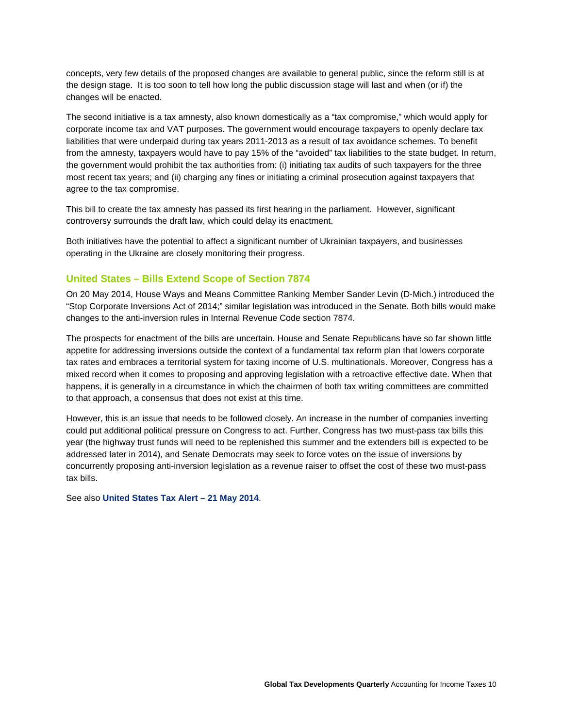<span id="page-11-0"></span>concepts, very few details of the proposed changes are available to general public, since the reform still is at the design stage. It is too soon to tell how long the public discussion stage will last and when (or if) the changes will be enacted.

The second initiative is a tax amnesty, also known domestically as a "tax compromise," which would apply for corporate income tax and VAT purposes. The government would encourage taxpayers to openly declare tax liabilities that were underpaid during tax years 2011-2013 as a result of tax avoidance schemes. To benefit from the amnesty, taxpayers would have to pay 15% of the "avoided" tax liabilities to the state budget. In return, the government would prohibit the tax authorities from: (i) initiating tax audits of such taxpayers for the three most recent tax years; and (ii) charging any fines or initiating a criminal prosecution against taxpayers that agree to the tax compromise.

This bill to create the tax amnesty has passed its first hearing in the parliament. However, significant controversy surrounds the draft law, which could delay its enactment.

Both initiatives have the potential to affect a significant number of Ukrainian taxpayers, and businesses operating in the Ukraine are closely monitoring their progress.

# **United States – Bills Extend Scope of Section 7874**

On 20 May 2014, House Ways and Means Committee Ranking Member Sander Levin (D-Mich.) introduced the "Stop Corporate Inversions Act of 2014;" similar legislation was introduced in the Senate. Both bills would make changes to the anti-inversion rules in Internal Revenue Code section 7874.

The prospects for enactment of the bills are uncertain. House and Senate Republicans have so far shown little appetite for addressing inversions outside the context of a fundamental tax reform plan that lowers corporate tax rates and embraces a territorial system for taxing income of U.S. multinationals. Moreover, Congress has a mixed record when it comes to proposing and approving legislation with a retroactive effective date. When that happens, it is generally in a circumstance in which the chairmen of both tax writing committees are committed to that approach, a consensus that does not exist at this time.

However, this is an issue that needs to be followed closely. An increase in the number of companies inverting could put additional political pressure on Congress to act. Further, Congress has two must-pass tax bills this year (the highway trust funds will need to be replenished this summer and the extenders bill is expected to be addressed later in 2014), and Senate Democrats may seek to force votes on the issue of inversions by concurrently proposing anti-inversion legislation as a revenue raiser to offset the cost of these two must-pass tax bills.

See also **[United States Tax Alert –](http://www2.deloitte.com/content/dam/Deloitte/global/Documents/Tax/dttl-tax-alert-united-states-210514.pdf) 21 May 2014**.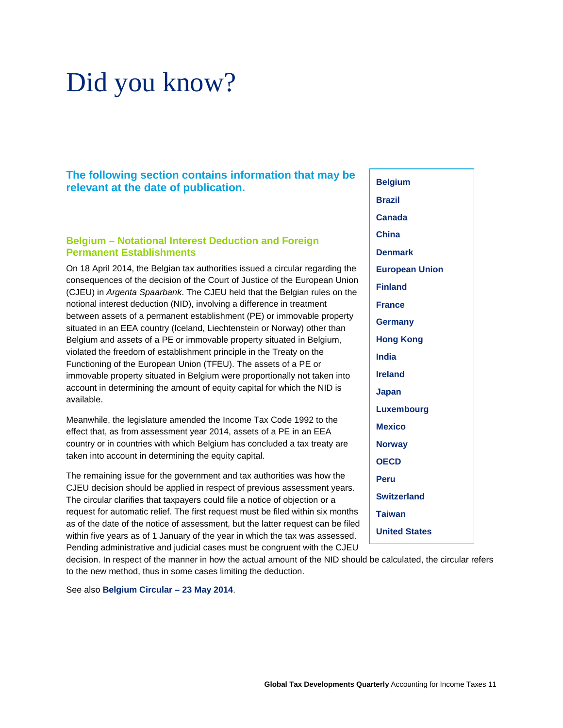# <span id="page-12-0"></span>Did you know?

**The following section contains information that may be relevant at the date of publication.** 

### **Belgium – Notational Interest Deduction and Foreign Permanent Establishments**

On 18 April 2014, the Belgian tax authorities issued a circular regarding the consequences of the decision of the Court of Justice of the European Union (CJEU) in *Argenta Spaarbank*. The CJEU held that the Belgian rules on the notional interest deduction (NID), involving a difference in treatment between assets of a permanent establishment (PE) or immovable property situated in an EEA country (Iceland, Liechtenstein or Norway) other than Belgium and assets of a PE or immovable property situated in Belgium, violated the freedom of establishment principle in the Treaty on the Functioning of the European Union (TFEU). The assets of a PE or immovable property situated in Belgium were proportionally not taken into account in determining the amount of equity capital for which the NID is available.

Meanwhile, the legislature amended the Income Tax Code 1992 to the effect that, as from assessment year 2014, assets of a PE in an EEA country or in countries with which Belgium has concluded a tax treaty are taken into account in determining the equity capital.

The remaining issue for the government and tax authorities was how the CJEU decision should be applied in respect of previous assessment years. The circular clarifies that taxpayers could file a notice of objection or a request for automatic relief. The first request must be filed within six months as of the date of the notice of assessment, but the latter request can be filed within five years as of 1 January of the year in which the tax was assessed. Pending administrative and judicial cases must be congruent with the CJEU

decision. In respect of the manner in how the actual amount of the NID should be calculated, the circular refers to the new method, thus in some cases limiting the deduction.

See also **[Belgium Circular](https://www.km.deloitteresources.com/sites/live/tax/_layouts/DTTS.DR.KAMDocumentForms/KAMDisplay.aspx?List=aecb8f44-b666-4a5d-97ab-452c5ee7648f&ID=11618) – 23 May 2014**.

**Belgium [Brazil](#page-13-0) [Canada](#page-14-0) [China](#page-14-0) [Denmark](#page-14-0) [European Union](#page-14-0) [Finland](#page-16-0) [France](#page-16-0) [Germany](#page-16-0) Hong [Kong](#page-17-0) [India](#page-17-0) [Ireland](#page-18-0)  [Japan](#page-18-0) [Luxembourg](#page-18-0) [Mexico](#page-19-0) [Norway](#page-19-0) [OECD](#page-19-0)  [Peru](#page-20-0) [Switzerland](#page-20-0) [Taiwan](#page-20-0) [United](#page-21-0) States**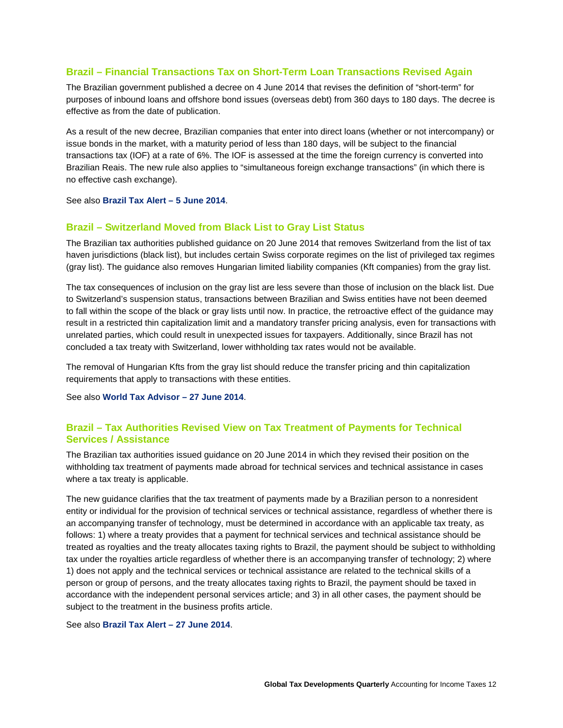# <span id="page-13-0"></span>**Brazil – Financial Transactions Tax on Short-Term Loan Transactions Revised Again**

The Brazilian government published a decree on 4 June 2014 that revises the definition of "short-term" for purposes of inbound loans and offshore bond issues (overseas debt) from 360 days to 180 days. The decree is effective as from the date of publication.

As a result of the new decree, Brazilian companies that enter into direct loans (whether or not intercompany) or issue bonds in the market, with a maturity period of less than 180 days, will be subject to the financial transactions tax (IOF) at a rate of 6%. The IOF is assessed at the time the foreign currency is converted into Brazilian Reais. The new rule also applies to "simultaneous foreign exchange transactions" (in which there is no effective cash exchange).

See also **[Brazil Tax Alert –](http://www2.deloitte.com/content/dam/Deloitte/global/Documents/Tax/dttl-tax-alert-brazil-050614.pdf) 5 June 2014**.

#### **Brazil – Switzerland Moved from Black List to Gray List Status**

The Brazilian tax authorities published guidance on 20 June 2014 that removes Switzerland from the list of tax haven jurisdictions (black list), but includes certain Swiss corporate regimes on the list of privileged tax regimes (gray list). The guidance also removes Hungarian limited liability companies (Kft companies) from the gray list.

The tax consequences of inclusion on the gray list are less severe than those of inclusion on the black list. Due to Switzerland's suspension status, transactions between Brazilian and Swiss entities have not been deemed to fall within the scope of the black or gray lists until now. In practice, the retroactive effect of the guidance may result in a restricted thin capitalization limit and a mandatory transfer pricing analysis, even for transactions with unrelated parties, which could result in unexpected issues for taxpayers. Additionally, since Brazil has not concluded a tax treaty with Switzerland, lower withholding tax rates would not be available.

The removal of Hungarian Kfts from the gray list should reduce the transfer pricing and thin capitalization requirements that apply to transactions with these entities.

See also **[World Tax Advisor –](http://www2.deloitte.com/content/dam/Deloitte/global/Documents/Tax/dtt_tax_worldtaxadvisor_140627.pdf) 27 June 2014**.

# **Brazil – Tax Authorities Revised View on Tax Treatment of Payments for Technical Services / Assistance**

The Brazilian tax authorities issued guidance on 20 June 2014 in which they revised their position on the withholding tax treatment of payments made abroad for technical services and technical assistance in cases where a tax treaty is applicable.

The new guidance clarifies that the tax treatment of payments made by a Brazilian person to a nonresident entity or individual for the provision of technical services or technical assistance, regardless of whether there is an accompanying transfer of technology, must be determined in accordance with an applicable tax treaty, as follows: 1) where a treaty provides that a payment for technical services and technical assistance should be treated as royalties and the treaty allocates taxing rights to Brazil, the payment should be subject to withholding tax under the royalties article regardless of whether there is an accompanying transfer of technology; 2) where 1) does not apply and the technical services or technical assistance are related to the technical skills of a person or group of persons, and the treaty allocates taxing rights to Brazil, the payment should be taxed in accordance with the independent personal services article; and 3) in all other cases, the payment should be subject to the treatment in the business profits article.

See also **[Brazil Tax Alert](http://www2.deloitte.com/content/dam/Deloitte/global/Documents/Tax/dttl-tax-alert-brazil-270614.pdf) – 27 June 2014**.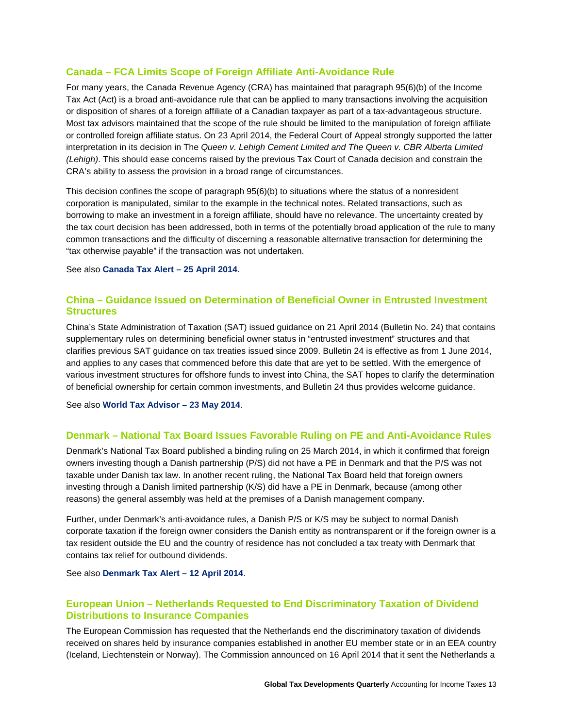# <span id="page-14-0"></span>**Canada – FCA Limits Scope of Foreign Affiliate Anti-Avoidance Rule**

For many years, the Canada Revenue Agency (CRA) has maintained that paragraph 95(6)(b) of the Income Tax Act (Act) is a broad anti-avoidance rule that can be applied to many transactions involving the acquisition or disposition of shares of a foreign affiliate of a Canadian taxpayer as part of a tax-advantageous structure. Most tax advisors maintained that the scope of the rule should be limited to the manipulation of foreign affiliate or controlled foreign affiliate status. On 23 April 2014, the Federal Court of Appeal strongly supported the latter interpretation in its decision in The *Queen v. Lehigh Cement Limited and The Queen v. CBR Alberta Limited (Lehigh)*. This should ease concerns raised by the previous Tax Court of Canada decision and constrain the CRA's ability to assess the provision in a broad range of circumstances.

This decision confines the scope of paragraph 95(6)(b) to situations where the status of a nonresident corporation is manipulated, similar to the example in the technical notes. Related transactions, such as borrowing to make an investment in a foreign affiliate, should have no relevance. The uncertainty created by the tax court decision has been addressed, both in terms of the potentially broad application of the rule to many common transactions and the difficulty of discerning a reasonable alternative transaction for determining the "tax otherwise payable" if the transaction was not undertaken.

See also **[Canada Tax Alert –](http://www2.deloitte.com/content/dam/Deloitte/global/Documents/Tax/dttl-tax-alert-canada-250414.pdf) 25 April 2014**.

# **China – Guidance Issued on Determination of Beneficial Owner in Entrusted Investment Structures**

China's State Administration of Taxation (SAT) issued guidance on 21 April 2014 (Bulletin No. 24) that contains supplementary rules on determining beneficial owner status in "entrusted investment" structures and that clarifies previous SAT guidance on tax treaties issued since 2009. Bulletin 24 is effective as from 1 June 2014, and applies to any cases that commenced before this date that are yet to be settled. With the emergence of various investment structures for offshore funds to invest into China, the SAT hopes to clarify the determination of beneficial ownership for certain common investments, and Bulletin 24 thus provides welcome guidance.

See also **[World Tax Advisor –](http://www2.deloitte.com/content/dam/Deloitte/global/Documents/Tax/dtt_tax_worldtaxadvisor_140523.pdf) 23 May 2014**.

# **Denmark – National Tax Board Issues Favorable Ruling on PE and Anti-Avoidance Rules**

Denmark's National Tax Board published a binding ruling on 25 March 2014, in which it confirmed that foreign owners investing though a Danish partnership (P/S) did not have a PE in Denmark and that the P/S was not taxable under Danish tax law. In another recent ruling, the National Tax Board held that foreign owners investing through a Danish limited partnership (K/S) did have a PE in Denmark, because (among other reasons) the general assembly was held at the premises of a Danish management company.

Further, under Denmark's anti-avoidance rules, a Danish P/S or K/S may be subject to normal Danish corporate taxation if the foreign owner considers the Danish entity as nontransparent or if the foreign owner is a tax resident outside the EU and the country of residence has not concluded a tax treaty with Denmark that contains tax relief for outbound dividends.

See also **[Denmark Tax Alert –](http://www2.deloitte.com/content/dam/Deloitte/global/Documents/Tax/dttl-tax-alert-denmark-120414.pdf) 12 April 2014**.

# **European Union – Netherlands Requested to End Discriminatory Taxation of Dividend Distributions to Insurance Companies**

The European Commission has requested that the Netherlands end the discriminatory taxation of dividends received on shares held by insurance companies established in another EU member state or in an EEA country (Iceland, Liechtenstein or Norway). The Commission announced on 16 April 2014 that it sent the Netherlands a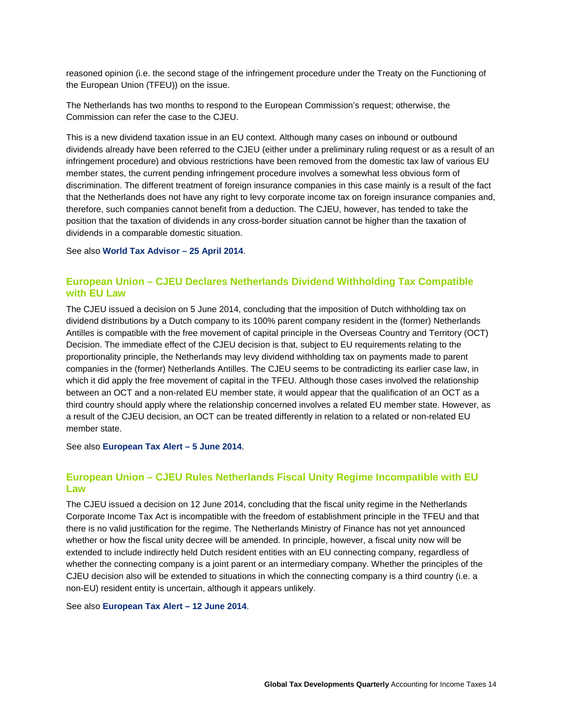reasoned opinion (i.e. the second stage of the infringement procedure under the Treaty on the Functioning of the European Union (TFEU)) on the issue.

The Netherlands has two months to respond to the European Commission's request; otherwise, the Commission can refer the case to the CJEU.

This is a new dividend taxation issue in an EU context. Although many cases on inbound or outbound dividends already have been referred to the CJEU (either under a preliminary ruling request or as a result of an infringement procedure) and obvious restrictions have been removed from the domestic tax law of various EU member states, the current pending infringement procedure involves a somewhat less obvious form of discrimination. The different treatment of foreign insurance companies in this case mainly is a result of the fact that the Netherlands does not have any right to levy corporate income tax on foreign insurance companies and, therefore, such companies cannot benefit from a deduction. The CJEU, however, has tended to take the position that the taxation of dividends in any cross-border situation cannot be higher than the taxation of dividends in a comparable domestic situation.

See also **[World Tax Advisor –](http://www2.deloitte.com/content/dam/Deloitte/global/Documents/Tax/dtt_tax_worldtaxadvisor_140425.pdf) 25 April 2014**.

# **European Union – CJEU Declares Netherlands Dividend Withholding Tax Compatible with EU Law**

The CJEU issued a decision on 5 June 2014, concluding that the imposition of Dutch withholding tax on dividend distributions by a Dutch company to its 100% parent company resident in the (former) Netherlands Antilles is compatible with the free movement of capital principle in the Overseas Country and Territory (OCT) Decision. The immediate effect of the CJEU decision is that, subject to EU requirements relating to the proportionality principle, the Netherlands may levy dividend withholding tax on payments made to parent companies in the (former) Netherlands Antilles. The CJEU seems to be contradicting its earlier case law, in which it did apply the free movement of capital in the TFEU. Although those cases involved the relationship between an OCT and a non-related EU member state, it would appear that the qualification of an OCT as a third country should apply where the relationship concerned involves a related EU member state. However, as a result of the CJEU decision, an OCT can be treated differently in relation to a related or non-related EU member state.

See also **[European Tax Alert –](http://www2.deloitte.com/content/dam/Deloitte/global/Documents/Tax/dttl-tax-alert-eu-050614.pdf) 5 June 2014**.

# **European Union – CJEU Rules Netherlands Fiscal Unity Regime Incompatible with EU Law**

The CJEU issued a decision on 12 June 2014, concluding that the fiscal unity regime in the Netherlands Corporate Income Tax Act is incompatible with the freedom of establishment principle in the TFEU and that there is no valid justification for the regime. The Netherlands Ministry of Finance has not yet announced whether or how the fiscal unity decree will be amended. In principle, however, a fiscal unity now will be extended to include indirectly held Dutch resident entities with an EU connecting company, regardless of whether the connecting company is a joint parent or an intermediary company. Whether the principles of the CJEU decision also will be extended to situations in which the connecting company is a third country (i.e. a non-EU) resident entity is uncertain, although it appears unlikely.

See also **[European Tax Alert –](http://www2.deloitte.com/content/dam/Deloitte/global/Documents/Tax/dttl-tax-alert-eu-120614.pdf) 12 June 2014**.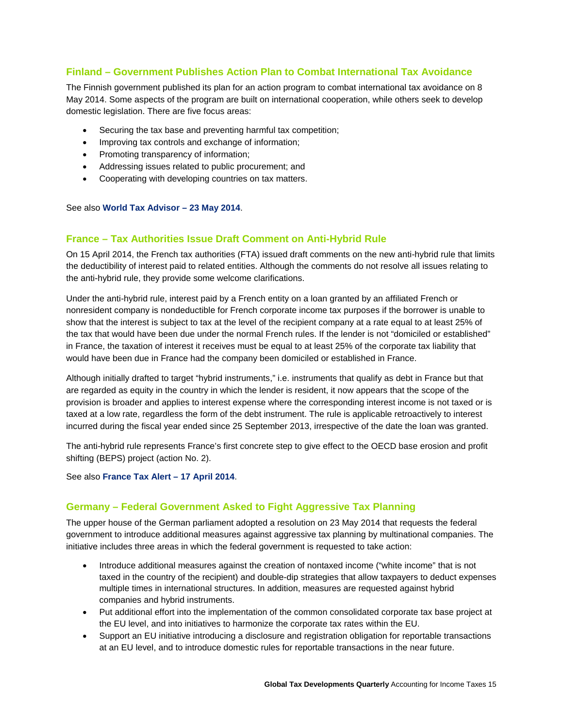# <span id="page-16-0"></span>**Finland – Government Publishes Action Plan to Combat International Tax Avoidance**

The Finnish government published its plan for an action program to combat international tax avoidance on 8 May 2014. Some aspects of the program are built on international cooperation, while others seek to develop domestic legislation. There are five focus areas:

- Securing the tax base and preventing harmful tax competition;
- Improving tax controls and exchange of information;
- Promoting transparency of information;
- Addressing issues related to public procurement; and
- Cooperating with developing countries on tax matters.

See also **[World Tax Advisor –](http://www2.deloitte.com/content/dam/Deloitte/global/Documents/Tax/dtt_tax_worldtaxadvisor_140523.pdf) 23 May 2014**.

# **France – Tax Authorities Issue Draft Comment on Anti-Hybrid Rule**

On 15 April 2014, the French tax authorities (FTA) issued draft comments on the new anti-hybrid rule that limits the deductibility of interest paid to related entities. Although the comments do not resolve all issues relating to the anti-hybrid rule, they provide some welcome clarifications.

Under the anti-hybrid rule, interest paid by a French entity on a loan granted by an affiliated French or nonresident company is nondeductible for French corporate income tax purposes if the borrower is unable to show that the interest is subject to tax at the level of the recipient company at a rate equal to at least 25% of the tax that would have been due under the normal French rules. If the lender is not "domiciled or established" in France, the taxation of interest it receives must be equal to at least 25% of the corporate tax liability that would have been due in France had the company been domiciled or established in France.

Although initially drafted to target "hybrid instruments," i.e. instruments that qualify as debt in France but that are regarded as equity in the country in which the lender is resident, it now appears that the scope of the provision is broader and applies to interest expense where the corresponding interest income is not taxed or is taxed at a low rate, regardless the form of the debt instrument. The rule is applicable retroactively to interest incurred during the fiscal year ended since 25 September 2013, irrespective of the date the loan was granted.

The anti-hybrid rule represents France's first concrete step to give effect to the OECD base erosion and profit shifting (BEPS) project (action No. 2).

#### See also **[France Tax Alert](http://www2.deloitte.com/content/dam/Deloitte/global/Documents/Tax/dttl-tax-alert-france-170414.pdf) – 17 April 2014**.

# **Germany – Federal Government Asked to Fight Aggressive Tax Planning**

The upper house of the German parliament adopted a resolution on 23 May 2014 that requests the federal government to introduce additional measures against aggressive tax planning by multinational companies. The initiative includes three areas in which the federal government is requested to take action:

- Introduce additional measures against the creation of nontaxed income ("white income" that is not taxed in the country of the recipient) and double-dip strategies that allow taxpayers to deduct expenses multiple times in international structures. In addition, measures are requested against hybrid companies and hybrid instruments.
- Put additional effort into the implementation of the common consolidated corporate tax base project at the EU level, and into initiatives to harmonize the corporate tax rates within the EU.
- Support an EU initiative introducing a disclosure and registration obligation for reportable transactions at an EU level, and to introduce domestic rules for reportable transactions in the near future.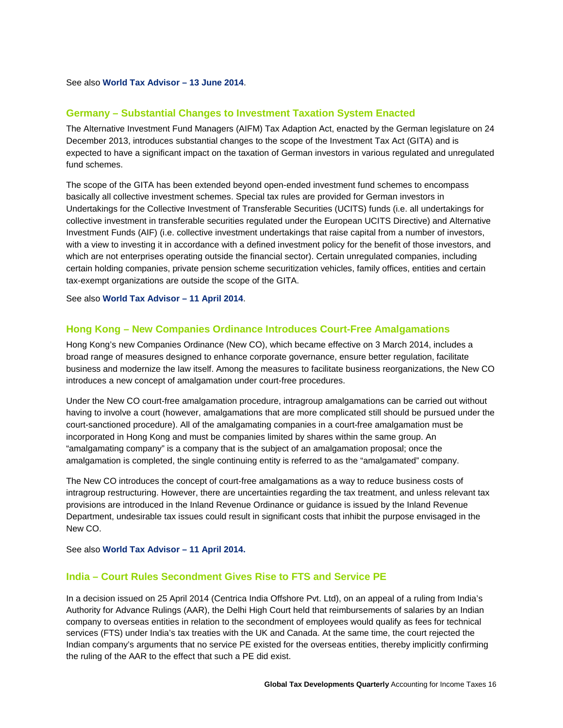<span id="page-17-0"></span>See also **[World Tax Advisor –](http://www2.deloitte.com/content/dam/Deloitte/global/Documents/Tax/dtt_tax_worldtaxadvisor_140613.pdf) 13 June 2014**.

### **Germany – Substantial Changes to Investment Taxation System Enacted**

The Alternative Investment Fund Managers (AIFM) Tax Adaption Act, enacted by the German legislature on 24 December 2013, introduces substantial changes to the scope of the Investment Tax Act (GITA) and is expected to have a significant impact on the taxation of German investors in various regulated and unregulated fund schemes.

The scope of the GITA has been extended beyond open-ended investment fund schemes to encompass basically all collective investment schemes. Special tax rules are provided for German investors in Undertakings for the Collective Investment of Transferable Securities (UCITS) funds (i.e. all undertakings for collective investment in transferable securities regulated under the European UCITS Directive) and Alternative Investment Funds (AIF) (i.e. collective investment undertakings that raise capital from a number of investors, with a view to investing it in accordance with a defined investment policy for the benefit of those investors, and which are not enterprises operating outside the financial sector). Certain unregulated companies, including certain holding companies, private pension scheme securitization vehicles, family offices, entities and certain tax-exempt organizations are outside the scope of the GITA.

See also **[World Tax Advisor –](http://www2.deloitte.com/content/dam/Deloitte/global/Documents/Tax/dtt_tax_worldtaxadvisor_140411.pdf) 11 April 2014**.

#### **Hong Kong – New Companies Ordinance Introduces Court-Free Amalgamations**

Hong Kong's new Companies Ordinance (New CO), which became effective on 3 March 2014, includes a broad range of measures designed to enhance corporate governance, ensure better regulation, facilitate business and modernize the law itself. Among the measures to facilitate business reorganizations, the New CO introduces a new concept of amalgamation under court-free procedures.

Under the New CO court-free amalgamation procedure, intragroup amalgamations can be carried out without having to involve a court (however, amalgamations that are more complicated still should be pursued under the court-sanctioned procedure). All of the amalgamating companies in a court-free amalgamation must be incorporated in Hong Kong and must be companies limited by shares within the same group. An "amalgamating company" is a company that is the subject of an amalgamation proposal; once the amalgamation is completed, the single continuing entity is referred to as the "amalgamated" company.

The New CO introduces the concept of court-free amalgamations as a way to reduce business costs of intragroup restructuring. However, there are uncertainties regarding the tax treatment, and unless relevant tax provisions are introduced in the Inland Revenue Ordinance or guidance is issued by the Inland Revenue Department, undesirable tax issues could result in significant costs that inhibit the purpose envisaged in the New CO.

See also **[World Tax Advisor –](http://www2.deloitte.com/content/dam/Deloitte/global/Documents/Tax/dtt_tax_worldtaxadvisor_140411.pdf) 11 April 2014.**

### **India – Court Rules Secondment Gives Rise to FTS and Service PE**

In a decision issued on 25 April 2014 (Centrica India Offshore Pvt. Ltd), on an appeal of a ruling from India's Authority for Advance Rulings (AAR), the Delhi High Court held that reimbursements of salaries by an Indian company to overseas entities in relation to the secondment of employees would qualify as fees for technical services (FTS) under India's tax treaties with the UK and Canada. At the same time, the court rejected the Indian company's arguments that no service PE existed for the overseas entities, thereby implicitly confirming the ruling of the AAR to the effect that such a PE did exist.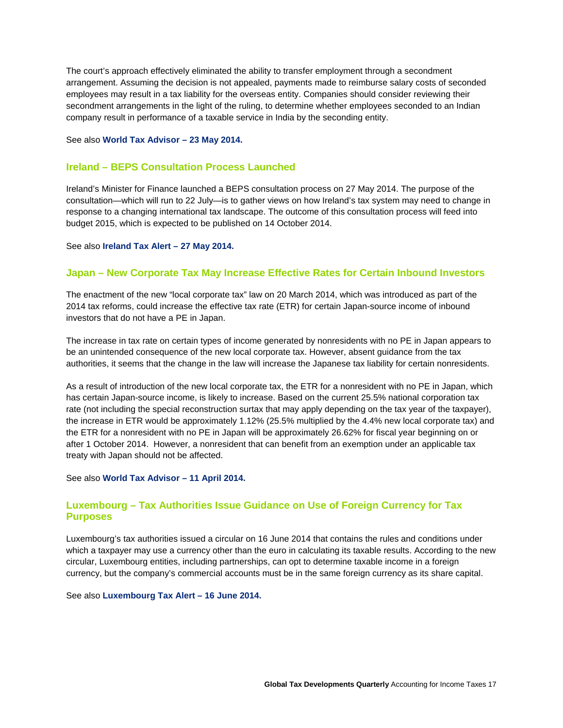<span id="page-18-0"></span>The court's approach effectively eliminated the ability to transfer employment through a secondment arrangement. Assuming the decision is not appealed, payments made to reimburse salary costs of seconded employees may result in a tax liability for the overseas entity. Companies should consider reviewing their secondment arrangements in the light of the ruling, to determine whether employees seconded to an Indian company result in performance of a taxable service in India by the seconding entity.

#### See also **[World Tax Advisor –](http://www2.deloitte.com/content/dam/Deloitte/global/Documents/Tax/dtt_tax_worldtaxadvisor_140523.pdf) 23 May 2014.**

### **Ireland – BEPS Consultation Process Launched**

Ireland's Minister for Finance launched a BEPS consultation process on 27 May 2014. The purpose of the consultation—which will run to 22 July—is to gather views on how Ireland's tax system may need to change in response to a changing international tax landscape. The outcome of this consultation process will feed into budget 2015, which is expected to be published on 14 October 2014.

#### See also **[Ireland Tax Alert](http://www2.deloitte.com/content/dam/Deloitte/global/Documents/Tax/dttl-tax-alert-ireland-270514.pdf) – 27 May 2014.**

### **Japan – New Corporate Tax May Increase Effective Rates for Certain Inbound Investors**

The enactment of the new "local corporate tax" law on 20 March 2014, which was introduced as part of the 2014 tax reforms, could increase the effective tax rate (ETR) for certain Japan-source income of inbound investors that do not have a PE in Japan.

The increase in tax rate on certain types of income generated by nonresidents with no PE in Japan appears to be an unintended consequence of the new local corporate tax. However, absent guidance from the tax authorities, it seems that the change in the law will increase the Japanese tax liability for certain nonresidents.

As a result of introduction of the new local corporate tax, the ETR for a nonresident with no PE in Japan, which has certain Japan-source income, is likely to increase. Based on the current 25.5% national corporation tax rate (not including the special reconstruction surtax that may apply depending on the tax year of the taxpayer), the increase in ETR would be approximately 1.12% (25.5% multiplied by the 4.4% new local corporate tax) and the ETR for a nonresident with no PE in Japan will be approximately 26.62% for fiscal year beginning on or after 1 October 2014. However, a nonresident that can benefit from an exemption under an applicable tax treaty with Japan should not be affected.

#### See also **[World Tax Advisor –](http://www2.deloitte.com/content/dam/Deloitte/global/Documents/Tax/dtt_tax_worldtaxadvisor_140411.pdf) 11 April 2014.**

# **Luxembourg – Tax Authorities Issue Guidance on Use of Foreign Currency for Tax Purposes**

Luxembourg's tax authorities issued a circular on 16 June 2014 that contains the rules and conditions under which a taxpayer may use a currency other than the euro in calculating its taxable results. According to the new circular, Luxembourg entities, including partnerships, can opt to determine taxable income in a foreign currency, but the company's commercial accounts must be in the same foreign currency as its share capital.

See also **[Luxembourg Tax Alert](http://www2.deloitte.com/content/dam/Deloitte/global/Documents/Tax/dttl-tax-alert-luxembourg-160614.pdf) – 16 June 2014.**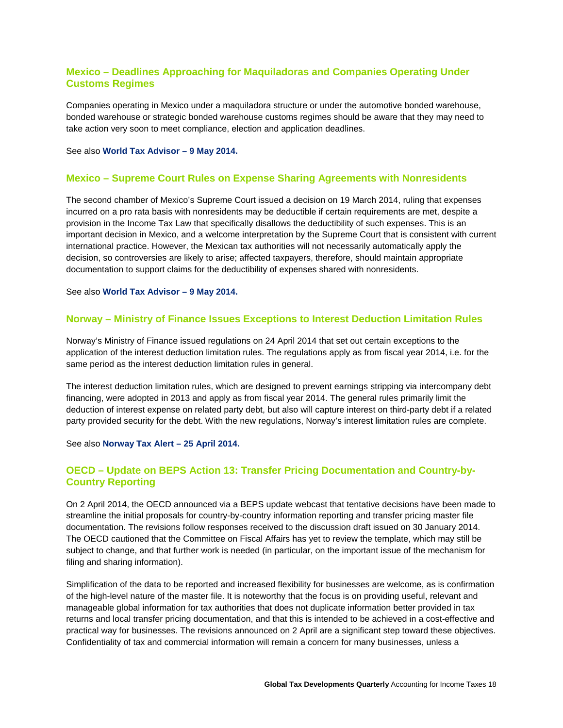# <span id="page-19-0"></span>**Mexico – Deadlines Approaching for Maquiladoras and Companies Operating Under Customs Regimes**

Companies operating in Mexico under a maquiladora structure or under the automotive bonded warehouse, bonded warehouse or strategic bonded warehouse customs regimes should be aware that they may need to take action very soon to meet compliance, election and application deadlines.

#### See also **[World Tax Advisor –](http://www2.deloitte.com/content/dam/Deloitte/global/Documents/Tax/dtt_tax_worldtaxadvisor_140509.pdf) 9 May 2014.**

#### **Mexico – Supreme Court Rules on Expense Sharing Agreements with Nonresidents**

The second chamber of Mexico's Supreme Court issued a decision on 19 March 2014, ruling that expenses incurred on a pro rata basis with nonresidents may be deductible if certain requirements are met, despite a provision in the Income Tax Law that specifically disallows the deductibility of such expenses. This is an important decision in Mexico, and a welcome interpretation by the Supreme Court that is consistent with current international practice. However, the Mexican tax authorities will not necessarily automatically apply the decision, so controversies are likely to arise; affected taxpayers, therefore, should maintain appropriate documentation to support claims for the deductibility of expenses shared with nonresidents.

#### See also **[World Tax Advisor –](http://www2.deloitte.com/content/dam/Deloitte/global/Documents/Tax/dtt_tax_worldtaxadvisor_140509.pdf) 9 May 2014.**

#### **Norway – Ministry of Finance Issues Exceptions to Interest Deduction Limitation Rules**

Norway's Ministry of Finance issued regulations on 24 April 2014 that set out certain exceptions to the application of the interest deduction limitation rules. The regulations apply as from fiscal year 2014, i.e. for the same period as the interest deduction limitation rules in general.

The interest deduction limitation rules, which are designed to prevent earnings stripping via intercompany debt financing, were adopted in 2013 and apply as from fiscal year 2014. The general rules primarily limit the deduction of interest expense on related party debt, but also will capture interest on third-party debt if a related party provided security for the debt. With the new regulations, Norway's interest limitation rules are complete.

See also **[Norway Tax Alert](http://www2.deloitte.com/content/dam/Deloitte/global/Documents/Tax/dttl-tax-alert-norway-250414.pdf) – 25 April 2014.**

# **OECD – Update on BEPS Action 13: Transfer Pricing Documentation and Country-by-Country Reporting**

On 2 April 2014, the OECD announced via a BEPS update webcast that tentative decisions have been made to streamline the initial proposals for country-by-country information reporting and transfer pricing master file documentation. The revisions follow responses received to the discussion draft issued on 30 January 2014. The OECD cautioned that the Committee on Fiscal Affairs has yet to review the template, which may still be subject to change, and that further work is needed (in particular, on the important issue of the mechanism for filing and sharing information).

Simplification of the data to be reported and increased flexibility for businesses are welcome, as is confirmation of the high-level nature of the master file. It is noteworthy that the focus is on providing useful, relevant and manageable global information for tax authorities that does not duplicate information better provided in tax returns and local transfer pricing documentation, and that this is intended to be achieved in a cost-effective and practical way for businesses. The revisions announced on 2 April are a significant step toward these objectives. Confidentiality of tax and commercial information will remain a concern for many businesses, unless a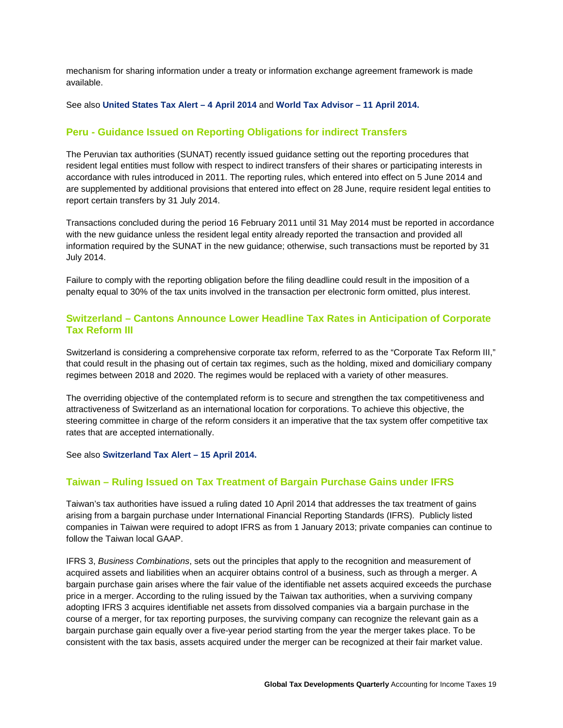<span id="page-20-0"></span>mechanism for sharing information under a treaty or information exchange agreement framework is made available.

#### See also **[United States Tax Alert –](http://www2.deloitte.com/content/dam/Deloitte/global/Documents/Tax/dttl-tax-alert-unitedstates-040414.pdf) 4 April 2014** and **[World Tax Advisor –](http://www2.deloitte.com/content/dam/Deloitte/global/Documents/Tax/dtt_tax_worldtaxadvisor_140411.pdf) 11 April 2014.**

# **Peru - Guidance Issued on Reporting Obligations for indirect Transfers**

The Peruvian tax authorities (SUNAT) recently issued guidance setting out the reporting procedures that resident legal entities must follow with respect to indirect transfers of their shares or participating interests in accordance with rules introduced in 2011. The reporting rules, which entered into effect on 5 June 2014 and are supplemented by additional provisions that entered into effect on 28 June, require resident legal entities to report certain transfers by 31 July 2014.

Transactions concluded during the period 16 February 2011 until 31 May 2014 must be reported in accordance with the new guidance unless the resident legal entity already reported the transaction and provided all information required by the SUNAT in the new guidance; otherwise, such transactions must be reported by 31 July 2014.

Failure to comply with the reporting obligation before the filing deadline could result in the imposition of a penalty equal to 30% of the tax units involved in the transaction per electronic form omitted, plus interest.

# **Switzerland – Cantons Announce Lower Headline Tax Rates in Anticipation of Corporate Tax Reform III**

Switzerland is considering a comprehensive corporate tax reform, referred to as the "Corporate Tax Reform III," that could result in the phasing out of certain tax regimes, such as the holding, mixed and domiciliary company regimes between 2018 and 2020. The regimes would be replaced with a variety of other measures.

The overriding objective of the contemplated reform is to secure and strengthen the tax competitiveness and attractiveness of Switzerland as an international location for corporations. To achieve this objective, the steering committee in charge of the reform considers it an imperative that the tax system offer competitive tax rates that are accepted internationally.

See also **[Switzerland Tax Alert](http://www2.deloitte.com/content/dam/Deloitte/global/Documents/Tax/dttl-tax-alert-switzerland-150414.pdf) – 15 April 2014.**

# **Taiwan – Ruling Issued on Tax Treatment of Bargain Purchase Gains under IFRS**

Taiwan's tax authorities have issued a ruling dated 10 April 2014 that addresses the tax treatment of gains arising from a bargain purchase under International Financial Reporting Standards (IFRS). Publicly listed companies in Taiwan were required to adopt IFRS as from 1 January 2013; private companies can continue to follow the Taiwan local GAAP.

IFRS 3, *Business Combinations*, sets out the principles that apply to the recognition and measurement of acquired assets and liabilities when an acquirer obtains control of a business, such as through a merger. A bargain purchase gain arises where the fair value of the identifiable net assets acquired exceeds the purchase price in a merger. According to the ruling issued by the Taiwan tax authorities, when a surviving company adopting IFRS 3 acquires identifiable net assets from dissolved companies via a bargain purchase in the course of a merger, for tax reporting purposes, the surviving company can recognize the relevant gain as a bargain purchase gain equally over a five-year period starting from the year the merger takes place. To be consistent with the tax basis, assets acquired under the merger can be recognized at their fair market value.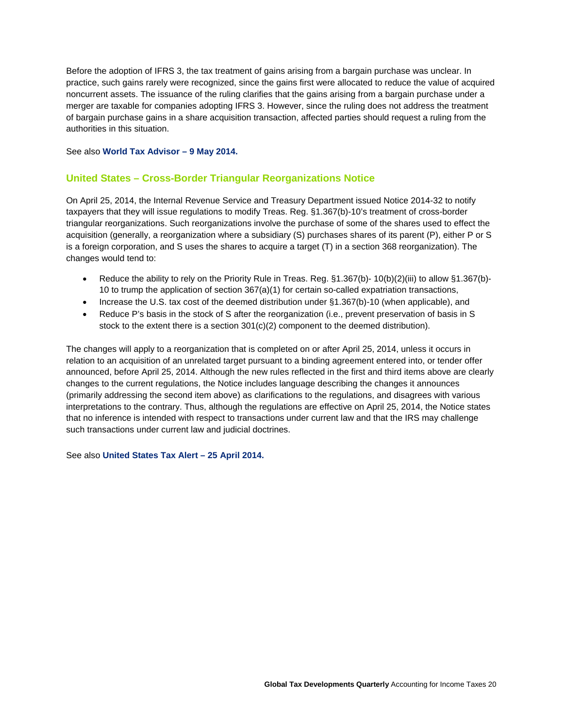<span id="page-21-0"></span>Before the adoption of IFRS 3, the tax treatment of gains arising from a bargain purchase was unclear. In practice, such gains rarely were recognized, since the gains first were allocated to reduce the value of acquired noncurrent assets. The issuance of the ruling clarifies that the gains arising from a bargain purchase under a merger are taxable for companies adopting IFRS 3. However, since the ruling does not address the treatment of bargain purchase gains in a share acquisition transaction, affected parties should request a ruling from the authorities in this situation.

See also **[World Tax Advisor –](http://www2.deloitte.com/content/dam/Deloitte/global/Documents/Tax/dtt_tax_worldtaxadvisor_140509.pdf) 9 May 2014.**

# **United States – Cross-Border Triangular Reorganizations Notice**

On April 25, 2014, the Internal Revenue Service and Treasury Department issued Notice 2014-32 to notify taxpayers that they will issue regulations to modify Treas. Reg. §1.367(b)-10's treatment of cross-border triangular reorganizations. Such reorganizations involve the purchase of some of the shares used to effect the acquisition (generally, a reorganization where a subsidiary (S) purchases shares of its parent (P), either P or S is a foreign corporation, and S uses the shares to acquire a target (T) in a section 368 reorganization). The changes would tend to:

- Reduce the ability to rely on the Priority Rule in Treas. Reg. §1.367(b)- 10(b)(2)(iii) to allow §1.367(b)- 10 to trump the application of section 367(a)(1) for certain so-called expatriation transactions,
- Increase the U.S. tax cost of the deemed distribution under §1.367(b)-10 (when applicable), and
- Reduce P's basis in the stock of S after the reorganization (i.e., prevent preservation of basis in S stock to the extent there is a section 301(c)(2) component to the deemed distribution).

The changes will apply to a reorganization that is completed on or after April 25, 2014, unless it occurs in relation to an acquisition of an unrelated target pursuant to a binding agreement entered into, or tender offer announced, before April 25, 2014. Although the new rules reflected in the first and third items above are clearly changes to the current regulations, the Notice includes language describing the changes it announces (primarily addressing the second item above) as clarifications to the regulations, and disagrees with various interpretations to the contrary. Thus, although the regulations are effective on April 25, 2014, the Notice states that no inference is intended with respect to transactions under current law and that the IRS may challenge such transactions under current law and judicial doctrines.

See also **[United States Tax Alert](http://www2.deloitte.com/content/dam/Deloitte/global/Documents/Tax/dttl-tax-alert-united-states-250414.pdf) – 25 April 2014.**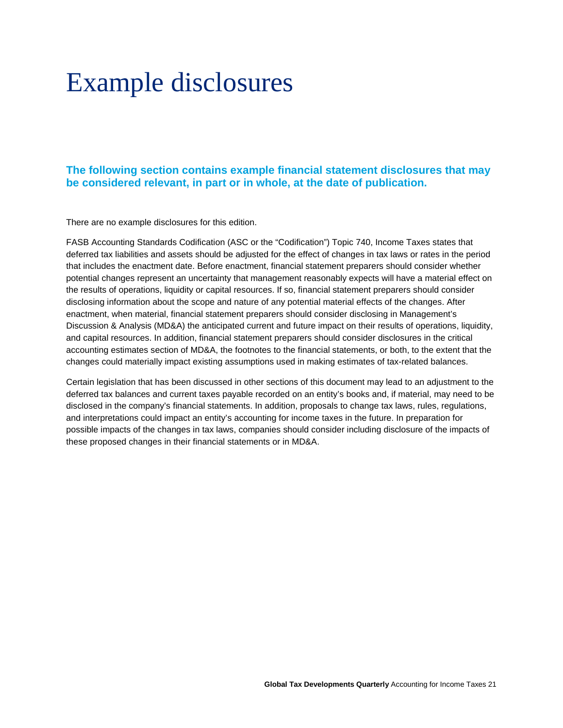# <span id="page-22-0"></span>Example disclosures

# **The following section contains example financial statement disclosures that may be considered relevant, in part or in whole, at the date of publication.**

There are no example disclosures for this edition.

FASB Accounting Standards Codification (ASC or the "Codification") Topic 740, Income Taxes states that deferred tax liabilities and assets should be adjusted for the effect of changes in tax laws or rates in the period that includes the enactment date. Before enactment, financial statement preparers should consider whether potential changes represent an uncertainty that management reasonably expects will have a material effect on the results of operations, liquidity or capital resources. If so, financial statement preparers should consider disclosing information about the scope and nature of any potential material effects of the changes. After enactment, when material, financial statement preparers should consider disclosing in Management's Discussion & Analysis (MD&A) the anticipated current and future impact on their results of operations, liquidity, and capital resources. In addition, financial statement preparers should consider disclosures in the critical accounting estimates section of MD&A, the footnotes to the financial statements, or both, to the extent that the changes could materially impact existing assumptions used in making estimates of tax-related balances.

Certain legislation that has been discussed in other sections of this document may lead to an adjustment to the deferred tax balances and current taxes payable recorded on an entity's books and, if material, may need to be disclosed in the company's financial statements. In addition, proposals to change tax laws, rules, regulations, and interpretations could impact an entity's accounting for income taxes in the future. In preparation for possible impacts of the changes in tax laws, companies should consider including disclosure of the impacts of these proposed changes in their financial statements or in MD&A.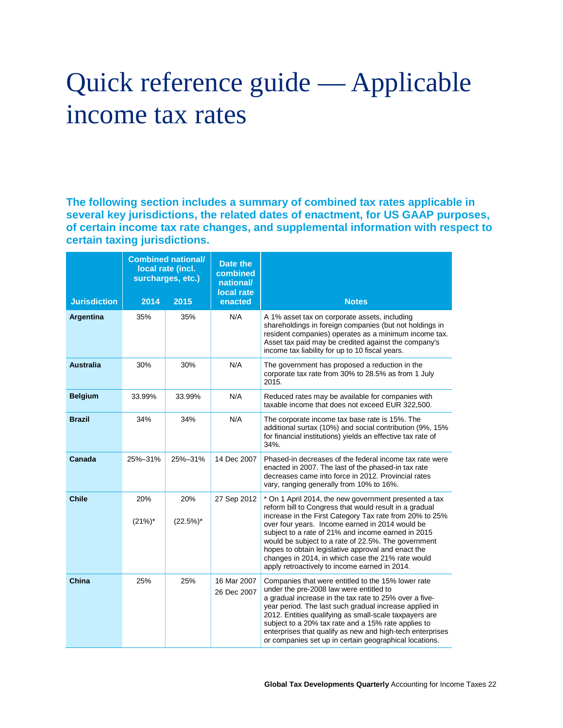# <span id="page-23-0"></span>Quick reference guide — Applicable income tax rates

**The following section includes a summary of combined tax rates applicable in several key jurisdictions, the related dates of enactment, for US GAAP purposes, of certain income tax rate changes, and supplemental information with respect to certain taxing jurisdictions.**

|                     |                  | <b>Combined national/</b><br>local rate (incl.<br>surcharges, etc.) | Date the<br>combined<br>national/<br>local rate |                                                                                                                                                                                                                                                                                                                                                                                                                                                                                                        |
|---------------------|------------------|---------------------------------------------------------------------|-------------------------------------------------|--------------------------------------------------------------------------------------------------------------------------------------------------------------------------------------------------------------------------------------------------------------------------------------------------------------------------------------------------------------------------------------------------------------------------------------------------------------------------------------------------------|
| <b>Jurisdiction</b> | 2014             | 2015                                                                | enacted                                         | <b>Notes</b>                                                                                                                                                                                                                                                                                                                                                                                                                                                                                           |
| Argentina           | 35%              | 35%                                                                 | N/A                                             | A 1% asset tax on corporate assets, including<br>shareholdings in foreign companies (but not holdings in<br>resident companies) operates as a minimum income tax.<br>Asset tax paid may be credited against the company's<br>income tax liability for up to 10 fiscal years.                                                                                                                                                                                                                           |
| <b>Australia</b>    | 30%              | 30%                                                                 | N/A                                             | The government has proposed a reduction in the<br>corporate tax rate from 30% to 28.5% as from 1 July<br>2015.                                                                                                                                                                                                                                                                                                                                                                                         |
| <b>Belgium</b>      | 33.99%           | 33.99%                                                              | N/A                                             | Reduced rates may be available for companies with<br>taxable income that does not exceed EUR 322,500.                                                                                                                                                                                                                                                                                                                                                                                                  |
| <b>Brazil</b>       | 34%              | 34%                                                                 | N/A                                             | The corporate income tax base rate is 15%. The<br>additional surtax (10%) and social contribution (9%, 15%<br>for financial institutions) yields an effective tax rate of<br>34%.                                                                                                                                                                                                                                                                                                                      |
| Canada              | 25%-31%          | 25%-31%                                                             | 14 Dec 2007                                     | Phased-in decreases of the federal income tax rate were<br>enacted in 2007. The last of the phased-in tax rate<br>decreases came into force in 2012. Provincial rates<br>vary, ranging generally from 10% to 16%.                                                                                                                                                                                                                                                                                      |
| <b>Chile</b>        | 20%<br>$(21%)^*$ | 20%<br>$(22.5%)^*$                                                  | 27 Sep 2012                                     | * On 1 April 2014, the new government presented a tax<br>reform bill to Congress that would result in a gradual<br>increase in the First Category Tax rate from 20% to 25%<br>over four years. Income earned in 2014 would be<br>subject to a rate of 21% and income earned in 2015<br>would be subject to a rate of 22.5%. The government<br>hopes to obtain legislative approval and enact the<br>changes in 2014, in which case the 21% rate would<br>apply retroactively to income earned in 2014. |
| China               | 25%              | 25%                                                                 | 16 Mar 2007<br>26 Dec 2007                      | Companies that were entitled to the 15% lower rate<br>under the pre-2008 law were entitled to<br>a gradual increase in the tax rate to 25% over a five-<br>year period. The last such gradual increase applied in<br>2012. Entities qualifying as small-scale taxpayers are<br>subject to a 20% tax rate and a 15% rate applies to<br>enterprises that qualify as new and high-tech enterprises<br>or companies set up in certain geographical locations.                                              |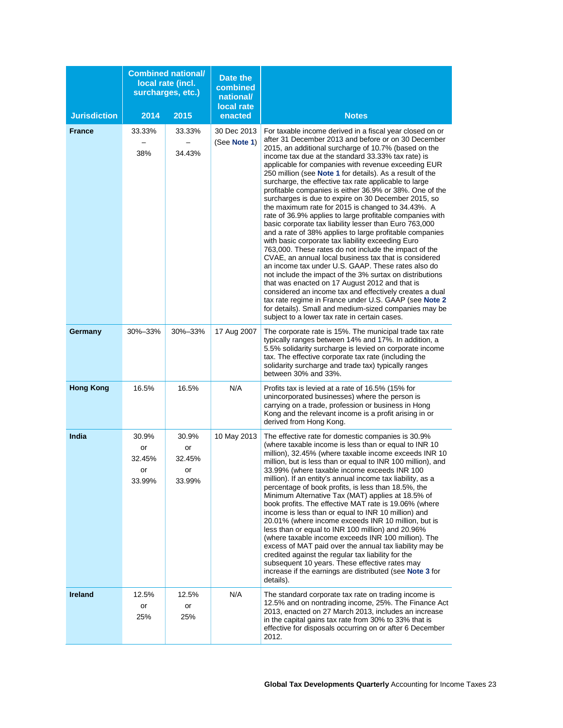|                     |                                       | <b>Combined national/</b><br>local rate (incl.<br>surcharges, etc.) | Date the<br>combined<br>national/<br>local rate |                                                                                                                                                                                                                                                                                                                                                                                                                                                                                                                                                                                                                                                                                                                                                                                                                                                                                                                                                                                                                                                                                                                                                                                                                                                                                                                                            |
|---------------------|---------------------------------------|---------------------------------------------------------------------|-------------------------------------------------|--------------------------------------------------------------------------------------------------------------------------------------------------------------------------------------------------------------------------------------------------------------------------------------------------------------------------------------------------------------------------------------------------------------------------------------------------------------------------------------------------------------------------------------------------------------------------------------------------------------------------------------------------------------------------------------------------------------------------------------------------------------------------------------------------------------------------------------------------------------------------------------------------------------------------------------------------------------------------------------------------------------------------------------------------------------------------------------------------------------------------------------------------------------------------------------------------------------------------------------------------------------------------------------------------------------------------------------------|
| <b>Jurisdiction</b> | 2014                                  | 2015                                                                | enacted                                         | <b>Notes</b>                                                                                                                                                                                                                                                                                                                                                                                                                                                                                                                                                                                                                                                                                                                                                                                                                                                                                                                                                                                                                                                                                                                                                                                                                                                                                                                               |
| <b>France</b>       | 33.33%<br>38%                         | 33.33%<br>34.43%                                                    | 30 Dec 2013<br>(See Note 1)                     | For taxable income derived in a fiscal year closed on or<br>after 31 December 2013 and before or on 30 December<br>2015, an additional surcharge of 10.7% (based on the<br>income tax due at the standard 33.33% tax rate) is<br>applicable for companies with revenue exceeding EUR<br>250 million (see Note 1 for details). As a result of the<br>surcharge, the effective tax rate applicable to large<br>profitable companies is either 36.9% or 38%. One of the<br>surcharges is due to expire on 30 December 2015, so<br>the maximum rate for 2015 is changed to 34.43%. A<br>rate of 36.9% applies to large profitable companies with<br>basic corporate tax liability lesser than Euro 763,000<br>and a rate of 38% applies to large profitable companies<br>with basic corporate tax liability exceeding Euro<br>763,000. These rates do not include the impact of the<br>CVAE, an annual local business tax that is considered<br>an income tax under U.S. GAAP. These rates also do<br>not include the impact of the 3% surtax on distributions<br>that was enacted on 17 August 2012 and that is<br>considered an income tax and effectively creates a dual<br>tax rate regime in France under U.S. GAAP (see Note 2<br>for details). Small and medium-sized companies may be<br>subject to a lower tax rate in certain cases. |
| Germany             | 30%-33%                               | 30%-33%                                                             | 17 Aug 2007                                     | The corporate rate is 15%. The municipal trade tax rate<br>typically ranges between 14% and 17%. In addition, a<br>5.5% solidarity surcharge is levied on corporate income<br>tax. The effective corporate tax rate (including the<br>solidarity surcharge and trade tax) typically ranges<br>between 30% and 33%.                                                                                                                                                                                                                                                                                                                                                                                                                                                                                                                                                                                                                                                                                                                                                                                                                                                                                                                                                                                                                         |
| <b>Hong Kong</b>    | 16.5%                                 | 16.5%                                                               | N/A                                             | Profits tax is levied at a rate of 16.5% (15% for<br>unincorporated businesses) where the person is<br>carrying on a trade, profession or business in Hong<br>Kong and the relevant income is a profit arising in or<br>derived from Hong Kong.                                                                                                                                                                                                                                                                                                                                                                                                                                                                                                                                                                                                                                                                                                                                                                                                                                                                                                                                                                                                                                                                                            |
| India               | 30.9%<br>or<br>32.45%<br>or<br>33.99% | 30.9%<br>or<br>32.45%<br>or<br>33.99%                               | 10 May 2013                                     | The effective rate for domestic companies is 30.9%<br>(where taxable income is less than or equal to INR 10)<br>million), 32.45% (where taxable income exceeds INR 10<br>million, but is less than or equal to INR 100 million), and<br>33.99% (where taxable income exceeds INR 100<br>million). If an entity's annual income tax liability, as a<br>percentage of book profits, is less than 18.5%, the<br>Minimum Alternative Tax (MAT) applies at 18.5% of<br>book profits. The effective MAT rate is 19.06% (where<br>income is less than or equal to INR 10 million) and<br>20.01% (where income exceeds INR 10 million, but is<br>less than or equal to INR 100 million) and 20.96%<br>(where taxable income exceeds INR 100 million). The<br>excess of MAT paid over the annual tax liability may be<br>credited against the regular tax liability for the<br>subsequent 10 years. These effective rates may<br>increase if the earnings are distributed (see Note 3 for<br>details).                                                                                                                                                                                                                                                                                                                                              |
| <b>Ireland</b>      | 12.5%<br>or<br>25%                    | 12.5%<br>or<br>25%                                                  | N/A                                             | The standard corporate tax rate on trading income is<br>12.5% and on nontrading income, 25%. The Finance Act<br>2013, enacted on 27 March 2013, includes an increase<br>in the capital gains tax rate from 30% to 33% that is<br>effective for disposals occurring on or after 6 December<br>2012.                                                                                                                                                                                                                                                                                                                                                                                                                                                                                                                                                                                                                                                                                                                                                                                                                                                                                                                                                                                                                                         |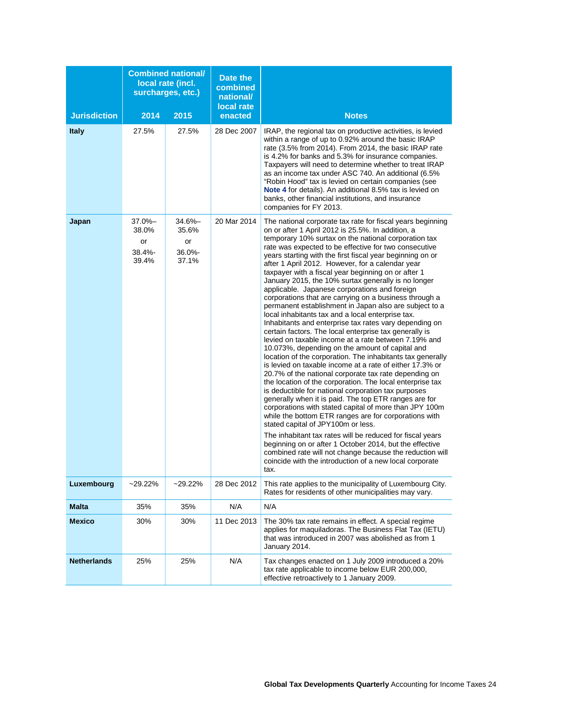|                     |                                                | <b>Combined national/</b><br>local rate (incl.<br>surcharges, etc.) | Date the<br>combined<br>national/<br>local rate |                                                                                                                                                                                                                                                                                                                                                                                                                                                                                                                                                                                                                                                                                                                                                                                                                                                                                                                                                                                                                                                                                                                                                                                                                                                                                                                                                                                                                                                                                                                                                                                                                                                                                                          |
|---------------------|------------------------------------------------|---------------------------------------------------------------------|-------------------------------------------------|----------------------------------------------------------------------------------------------------------------------------------------------------------------------------------------------------------------------------------------------------------------------------------------------------------------------------------------------------------------------------------------------------------------------------------------------------------------------------------------------------------------------------------------------------------------------------------------------------------------------------------------------------------------------------------------------------------------------------------------------------------------------------------------------------------------------------------------------------------------------------------------------------------------------------------------------------------------------------------------------------------------------------------------------------------------------------------------------------------------------------------------------------------------------------------------------------------------------------------------------------------------------------------------------------------------------------------------------------------------------------------------------------------------------------------------------------------------------------------------------------------------------------------------------------------------------------------------------------------------------------------------------------------------------------------------------------------|
| <b>Jurisdiction</b> | 2014                                           | 2015                                                                | enacted                                         | <b>Notes</b>                                                                                                                                                                                                                                                                                                                                                                                                                                                                                                                                                                                                                                                                                                                                                                                                                                                                                                                                                                                                                                                                                                                                                                                                                                                                                                                                                                                                                                                                                                                                                                                                                                                                                             |
| <b>Italy</b>        | 27.5%                                          | 27.5%                                                               | 28 Dec 2007                                     | IRAP, the regional tax on productive activities, is levied<br>within a range of up to 0.92% around the basic IRAP<br>rate (3.5% from 2014). From 2014, the basic IRAP rate<br>is 4.2% for banks and 5.3% for insurance companies.<br>Taxpayers will need to determine whether to treat IRAP<br>as an income tax under ASC 740. An additional (6.5%<br>"Robin Hood" tax is levied on certain companies (see<br>Note 4 for details). An additional 8.5% tax is levied on<br>banks, other financial institutions, and insurance<br>companies for FY 2013.                                                                                                                                                                                                                                                                                                                                                                                                                                                                                                                                                                                                                                                                                                                                                                                                                                                                                                                                                                                                                                                                                                                                                   |
| Japan               | $37.0% -$<br>38.0%<br>or<br>$38.4% -$<br>39.4% | $34.6% -$<br>35.6%<br>or<br>$36.0\%$<br>37.1%                       | 20 Mar 2014                                     | The national corporate tax rate for fiscal years beginning<br>on or after 1 April 2012 is 25.5%. In addition, a<br>temporary 10% surtax on the national corporation tax<br>rate was expected to be effective for two consecutive<br>years starting with the first fiscal year beginning on or<br>after 1 April 2012. However, for a calendar year<br>taxpayer with a fiscal year beginning on or after 1<br>January 2015, the 10% surtax generally is no longer<br>applicable. Japanese corporations and foreign<br>corporations that are carrying on a business through a<br>permanent establishment in Japan also are subject to a<br>local inhabitants tax and a local enterprise tax.<br>Inhabitants and enterprise tax rates vary depending on<br>certain factors. The local enterprise tax generally is<br>levied on taxable income at a rate between 7.19% and<br>10.073%, depending on the amount of capital and<br>location of the corporation. The inhabitants tax generally<br>is levied on taxable income at a rate of either 17.3% or<br>20.7% of the national corporate tax rate depending on<br>the location of the corporation. The local enterprise tax<br>is deductible for national corporation tax purposes<br>generally when it is paid. The top ETR ranges are for<br>corporations with stated capital of more than JPY 100m<br>while the bottom ETR ranges are for corporations with<br>stated capital of JPY100m or less.<br>The inhabitant tax rates will be reduced for fiscal years<br>beginning on or after 1 October 2014, but the effective<br>combined rate will not change because the reduction will<br>coincide with the introduction of a new local corporate<br>tax. |
| Luxembourg          | $-29.22%$                                      | $-29.22%$                                                           | 28 Dec 2012                                     | This rate applies to the municipality of Luxembourg City.<br>Rates for residents of other municipalities may vary.                                                                                                                                                                                                                                                                                                                                                                                                                                                                                                                                                                                                                                                                                                                                                                                                                                                                                                                                                                                                                                                                                                                                                                                                                                                                                                                                                                                                                                                                                                                                                                                       |
| <b>Malta</b>        | 35%                                            | 35%                                                                 | N/A                                             | N/A                                                                                                                                                                                                                                                                                                                                                                                                                                                                                                                                                                                                                                                                                                                                                                                                                                                                                                                                                                                                                                                                                                                                                                                                                                                                                                                                                                                                                                                                                                                                                                                                                                                                                                      |
| <b>Mexico</b>       | 30%                                            | 30%                                                                 | 11 Dec 2013                                     | The 30% tax rate remains in effect. A special regime<br>applies for maquiladoras. The Business Flat Tax (IETU)<br>that was introduced in 2007 was abolished as from 1<br>January 2014.                                                                                                                                                                                                                                                                                                                                                                                                                                                                                                                                                                                                                                                                                                                                                                                                                                                                                                                                                                                                                                                                                                                                                                                                                                                                                                                                                                                                                                                                                                                   |
| <b>Netherlands</b>  | 25%                                            | 25%                                                                 | N/A                                             | Tax changes enacted on 1 July 2009 introduced a 20%<br>tax rate applicable to income below EUR 200,000,<br>effective retroactively to 1 January 2009.                                                                                                                                                                                                                                                                                                                                                                                                                                                                                                                                                                                                                                                                                                                                                                                                                                                                                                                                                                                                                                                                                                                                                                                                                                                                                                                                                                                                                                                                                                                                                    |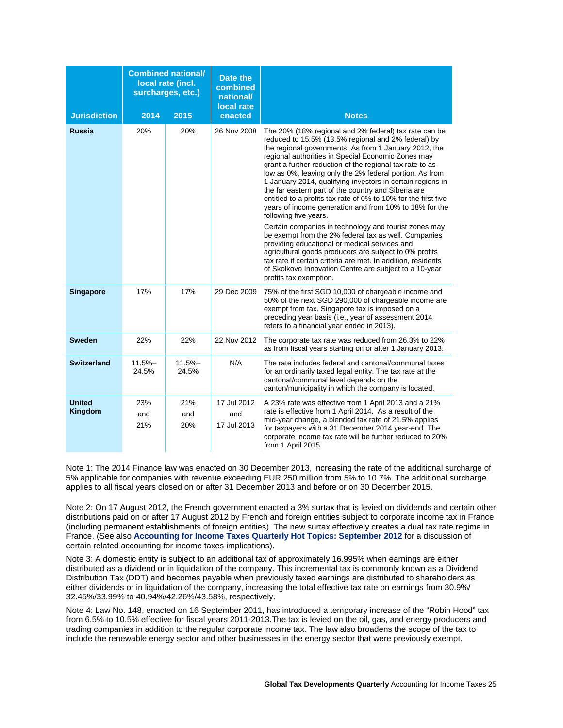| <b>Jurisdiction</b>             | 2014               | <b>Combined national/</b><br>local rate (incl.<br>surcharges, etc.)<br>2015 | <b>Date the</b><br>combined<br>national/<br>local rate<br>enacted | <b>Notes</b>                                                                                                                                                                                                                                                                                                                                                                                                                                                                                                                                                                                                                 |
|---------------------------------|--------------------|-----------------------------------------------------------------------------|-------------------------------------------------------------------|------------------------------------------------------------------------------------------------------------------------------------------------------------------------------------------------------------------------------------------------------------------------------------------------------------------------------------------------------------------------------------------------------------------------------------------------------------------------------------------------------------------------------------------------------------------------------------------------------------------------------|
| <b>Russia</b>                   | 20%                | 20%                                                                         | 26 Nov 2008                                                       | The 20% (18% regional and 2% federal) tax rate can be<br>reduced to 15.5% (13.5% regional and 2% federal) by<br>the regional governments. As from 1 January 2012, the<br>regional authorities in Special Economic Zones may<br>grant a further reduction of the regional tax rate to as<br>low as 0%, leaving only the 2% federal portion. As from<br>1 January 2014, qualifying investors in certain regions in<br>the far eastern part of the country and Siberia are<br>entitled to a profits tax rate of 0% to 10% for the first five<br>years of income generation and from 10% to 18% for the<br>following five years. |
|                                 |                    |                                                                             |                                                                   | Certain companies in technology and tourist zones may<br>be exempt from the 2% federal tax as well. Companies<br>providing educational or medical services and<br>agricultural goods producers are subject to 0% profits<br>tax rate if certain criteria are met. In addition, residents<br>of Skolkovo Innovation Centre are subject to a 10-year<br>profits tax exemption.                                                                                                                                                                                                                                                 |
| <b>Singapore</b>                | 17%                | 17%                                                                         | 29 Dec 2009                                                       | 75% of the first SGD 10,000 of chargeable income and<br>50% of the next SGD 290,000 of chargeable income are<br>exempt from tax. Singapore tax is imposed on a<br>preceding year basis (i.e., year of assessment 2014<br>refers to a financial year ended in 2013).                                                                                                                                                                                                                                                                                                                                                          |
| <b>Sweden</b>                   | 22%                | 22%                                                                         | 22 Nov 2012                                                       | The corporate tax rate was reduced from 26.3% to 22%<br>as from fiscal years starting on or after 1 January 2013.                                                                                                                                                                                                                                                                                                                                                                                                                                                                                                            |
| <b>Switzerland</b>              | $11.5% -$<br>24.5% | $11.5% -$<br>24.5%                                                          | N/A                                                               | The rate includes federal and cantonal/communal taxes<br>for an ordinarily taxed legal entity. The tax rate at the<br>cantonal/communal level depends on the<br>canton/municipality in which the company is located.                                                                                                                                                                                                                                                                                                                                                                                                         |
| <b>United</b><br><b>Kingdom</b> | 23%<br>and<br>21%  | 21%<br>and<br>20%                                                           | 17 Jul 2012<br>and<br>17 Jul 2013                                 | A 23% rate was effective from 1 April 2013 and a 21%<br>rate is effective from 1 April 2014. As a result of the<br>mid-year change, a blended tax rate of 21.5% applies<br>for taxpayers with a 31 December 2014 year-end. The<br>corporate income tax rate will be further reduced to 20%<br>from 1 April 2015.                                                                                                                                                                                                                                                                                                             |

<span id="page-26-0"></span>Note 1: The 2014 Finance law was enacted on 30 December 2013, increasing the rate of the additional surcharge of 5% applicable for companies with revenue exceeding EUR 250 million from 5% to 10.7%. The additional surcharge applies to all fiscal years closed on or after 31 December 2013 and before or on 30 December 2015.

<span id="page-26-1"></span>Note 2: On 17 August 2012, the French government enacted a 3% surtax that is levied on dividends and certain other distributions paid on or after 17 August 2012 by French and foreign entities subject to corporate income tax in France (including permanent establishments of foreign entities). The new surtax effectively creates a dual tax rate regime in France. (See also **[Accounting for Income Taxes Quarterly Hot Topics: September 2012](http://www.deloitte.com/view/en_US/us/Services/tax/5e1093c8372e9310VgnVCM3000003456f70aRCRD.htm)** for a discussion of certain related accounting for income taxes implications).

<span id="page-26-2"></span>Note 3: A domestic entity is subject to an additional tax of approximately 16.995% when earnings are either distributed as a dividend or in liquidation of the company. This incremental tax is commonly known as a Dividend Distribution Tax (DDT) and becomes payable when previously taxed earnings are distributed to shareholders as either dividends or in liquidation of the company, increasing the total effective tax rate on earnings from 30.9%/ 32.45%/33.99% to 40.94%/42.26%/43.58%, respectively.

<span id="page-26-3"></span>Note 4: Law No. 148, enacted on 16 September 2011, has introduced a temporary increase of the "Robin Hood" tax from 6.5% to 10.5% effective for fiscal years 2011-2013.The tax is levied on the oil, gas, and energy producers and trading companies in addition to the regular corporate income tax. The law also broadens the scope of the tax to include the renewable energy sector and other businesses in the energy sector that were previously exempt.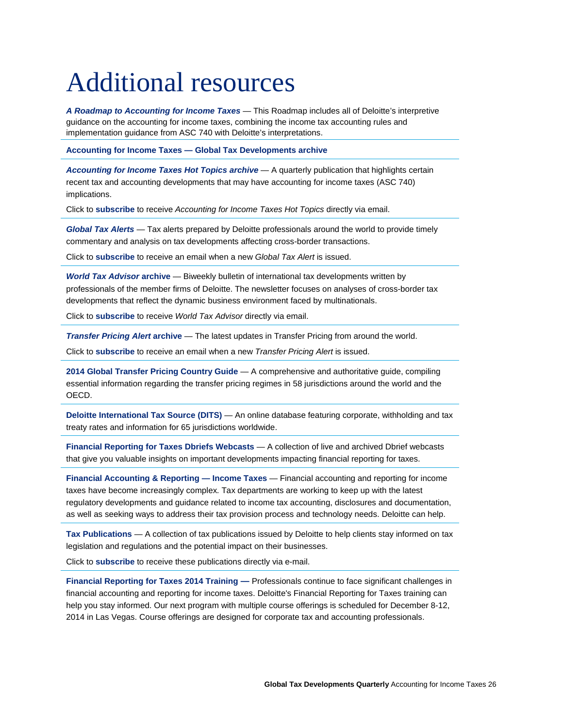# <span id="page-27-0"></span>Additional resources

*[A Roadmap to Accounting for Income Taxes](http://www.deloitte.com/assets/Dcom-UnitedStates/Local%20Assets/Documents/AERS/ASC/us_aers_IncomeTaxes.pdf)* — This Roadmap includes all of Deloitte's interpretive guidance on the accounting for income taxes, combining the income tax accounting rules and implementation guidance from ASC 740 with Deloitte's interpretations.

**Accounting for Income Taxes — [Global Tax Developments archive](https://www.deloitte.com/view/en_US/us/Services/tax/21bef26c73612310VgnVCM2000001b56f00aRCRD.htm)**

*[Accounting for Income Taxes Hot Topics](http://www.deloitte.com/us/ait?id=us_email_TaxAERS_AIT) archive* — A quarterly publication that highlights certain recent tax and accounting developments that may have accounting for income taxes (ASC 740) implications.

Click to **[subscribe](http://tinyurl.com/4qo3fqa)** to receive *Accounting for Income Taxes Hot Topics* directly via email.

*[Global Tax Alerts](http://www.deloitte.com/view/en_GX/global/services/tax/c18d173f622d2210VgnVCM100000ba42f00aRCRD.htm)* — Tax alerts prepared by Deloitte professionals around the world to provide timely commentary and analysis on tax developments affecting cross-border transactions.

Click to **[subscribe](http://www2.deloitte.com/global/en/pages/tax/articles/global-tax-newsletter-signup.html)** to receive an email when a new *Global Tax Alert* is issued.

*[World Tax Advisor](http://www.deloitte.com/tax/wta)* **archive** — Biweekly bulletin of international tax developments written by professionals of the member firms of Deloitte. The newsletter focuses on analyses of cross-border tax developments that reflect the dynamic business environment faced by multinationals.

Click to **[subscribe](http://tinyurl.com/4ue4vs5)** to receive *World Tax Advisor* directly via email.

*[Transfer Pricing Alert](http://www.deloitte.com/view/en_GX/global/services/tax/cross-border-tax/transfer-pricing/transfer-pricing-alerts/index.htm)* **archive** — The latest updates in Transfer Pricing from around the world.

Click to **[subscribe](http://www2.deloitte.com/global/en/pages/tax/articles/global-tax-newsletter-signup.html)** to receive an email when a new *Transfer Pricing Alert* is issued.

**[2014 Global Transfer Pricing Country Guide](http://www2.deloitte.com/global/en/pages/tax/articles/global-transfer-pricing-guide.html)** — A comprehensive and authoritative guide, compiling essential information regarding the transfer pricing regimes in 58 jurisdictions around the world and the OECD.

**[Deloitte International Tax Source \(DITS\)](http://www.dits.deloitte.com/Default.aspx?WT.mc_id=DcomPortal)** — An online database featuring corporate, withholding and tax treaty rates and information for 65 jurisdictions worldwide.

**[Financial Reporting for Taxes Dbriefs Webcasts](http://cl.exct.net/?qs=2836dddb3a213ef3ed6ed1fd456383414e6ad72b2baf889f170370b4dd33a703)** — A collection of live and archived Dbrief webcasts that give you valuable insights on important developments impacting financial reporting for taxes.

**[Financial Accounting & Reporting —](http://cl.exct.net/?qs=2836dddb3a213ef3713a2eebc6f1263c5178e69673cad322af4ebc099cf785e2) Income Taxes** — Financial accounting and reporting for income taxes have become increasingly complex. Tax departments are working to keep up with the latest regulatory developments and guidance related to income tax accounting, disclosures and documentation, as well as seeking ways to address their tax provision process and technology needs. Deloitte can help.

**[Tax Publications](http://www.deloitte.com/view/en_US/us/Services/tax/70ff30c50e1fb110VgnVCM100000ba42f00aRCRD.htm?id=us_email_TaxAERS_AIT)** — A collection of tax publications issued by Deloitte to help clients stay informed on tax legislation and regulations and the potential impact on their businesses.

Click to **[subscribe](https://deloitte.zettaneer.com/Subscriptions/?aoi=a0930000003EafwAAC)** to receive these publications directly via e-mail.

**[Financial Reporting for Taxes 2014](http://www.deloitteconference.com/profile/web/index.cfm?PKwebID=0x553292c85) Training —** Professionals continue to face significant challenges in financial accounting and reporting for income taxes. Deloitte's Financial Reporting for Taxes training can help you stay informed. Our next program with multiple course offerings is scheduled for December 8-12, 2014 in Las Vegas. Course offerings are designed for corporate tax and accounting professionals.